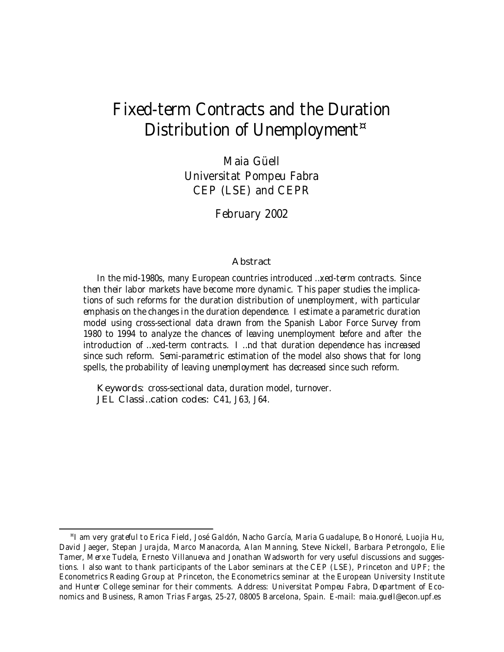# Fixed-term Contracts and the Duration Distribution of Unemployment<sup>¤</sup>

Maia Güell Universitat Pompeu Fabra CEP (LSE) and CEPR

February 2002

#### Abstract

In the mid-1980s, many European countries introduced …xed-term contracts. Since then their labor markets have become more dynamic. This paper studies the implications of such reforms for the duration distribution of unemployment, with particular emphasis on the changes in the duration dependence. I estimate a parametric duration model using cross-sectional data drawn from the Spanish Labor Force Survey from 1980 to 1994 to analyze the chances of leaving unemployment before and after the introduction of …xed-term contracts. I …nd that duration dependence has increased since such reform. Semi-parametric estimation of the model also shows that for long spells, the probability of leaving unemployment has decreased since such reform.

Keywords: cross-sectional data, duration model, turnover. JEL Classi…cation codes: C41, J63, J64.

<sup>¤</sup> I am very grateful to Erica Field, José Galdón, Nacho García, Maria Guadalupe, Bo Honoré, Luojia Hu, David Jaeger, Stepan Jurajda, Marco Manacorda, Alan Manning, Steve Nickell, Barbara Petrongolo, Elie Tamer, Merxe Tudela, Ernesto Villanueva and Jonathan Wadsworth for very useful discussions and suggestions. I also want to thank participants of the Labor seminars at the CEP (LSE), Princeton and UPF; the Econometrics Reading Group at Princeton, the Econometrics seminar at the European University Institute and Hunter College seminar for their comments. Address: Universitat Pompeu Fabra, Department of Economics and Business, Ramon Trias Fargas, 25-27, 08005 Barcelona, Spain. E-mail: maia.guell@econ.upf.es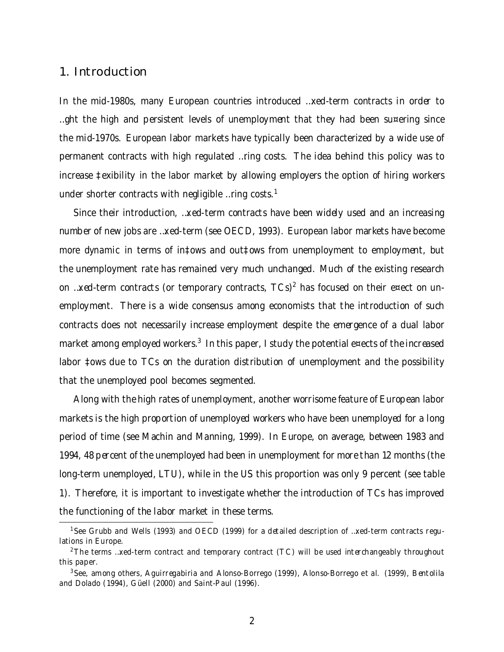#### 1. Introduction

In the mid-1980s, many European countries introduced …xed-term contracts in order to …ght the high and persistent levels of unemployment that they had been su¤ering since the mid-1970s. European labor markets have typically been characterized by a wide use of permanent contracts with high regulated …ring costs. The idea behind this policy was to increase ‡exibility in the labor market by allowing employers the option of hiring workers under shorter contracts with negligible …ring costs.<sup>1</sup>

Since their introduction, …xed-term contracts have been widely used and an increasing number of new jobs are …xed-term (see OECD, 1993). European labor markets have become more dynamic in terms of in‡ows and out‡ows from unemployment to employment, but the unemployment rate has remained very much unchanged. Much of the existing research on …xed-term contracts (or temporary contracts, TCs)<sup>2</sup> has focused on their e¤ect on unemployment. There is a wide consensus among economists that the introduction of such contracts does not necessarily increase employment despite the emergence of a dual labor market among employed workers. $^3\,$  In this paper, I study the potential e¤ects of the increased labor ‡ows due to TCs on the duration distribution of unemployment and the possibility that the unemployed pool becomes segmented.

Along with the high rates of unemployment, another worrisome feature of European labor markets is the high proportion of unemployed workers who have been unemployed for a long period of time (see Machin and Manning, 1999). In Europe, on average, between 1983 and 1994, 48 percent of the unemployed had been in unemployment for more than 12 months (the long-term unemployed, LTU), while in the US this proportion was only 9 percent (see table 1). Therefore, it is important to investigate whether the introduction of TCs has improved the functioning of the labor market in these terms.

<sup>1</sup>See Grubb and Wells (1993) and OECD (1999) for a detailed description of …xed-term contracts regulations in Europe.

<sup>&</sup>lt;sup>2</sup>The terms ...xed-term contract and temporary contract (TC) will be used interchangeably throughout this paper.

<sup>&</sup>lt;sup>3</sup>See, among others, Aguirregabiria and Alonso-Borrego (1999), Alonso-Borrego et al. (1999), Bentolila and Dolado (1994), Güell (2000) and Saint-Paul (1996).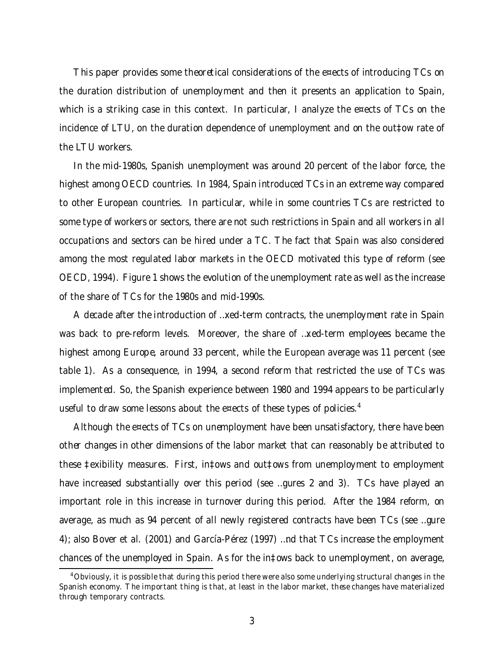This paper provides some theoretical considerations of the e¤ects of introducing TCs on the duration distribution of unemployment and then it presents an application to Spain, which is a striking case in this context. In particular, I analyze the e¤ects of TCs on the incidence of LTU, on the duration dependence of unemployment and on the out‡ow rate of the LTU workers.

In the mid-1980s, Spanish unemployment was around 20 percent of the labor force, the highest among OECD countries. In 1984, Spain introduced TCs in an extreme way compared to other European countries. In particular, while in some countries TCs are restricted to some type of workers or sectors, there are not such restrictions in Spain and all workers in all occupations and sectors can be hired under a TC. The fact that Spain was also considered among the most regulated labor markets in the OECD motivated this type of reform (see OECD, 1994). Figure 1 shows the evolution of the unemployment rate as well as the increase of the share of TCs for the 1980s and mid-1990s.

A decade after the introduction of …xed-term contracts, the unemployment rate in Spain was back to pre-reform levels. Moreover, the share of …xed-term employees became the highest among Europe, around 33 percent, while the European average was 11 percent (see table 1). As a consequence, in 1994, a second reform that restricted the use of TCs was implemented. So, the Spanish experience between 1980 and 1994 appears to be particularly useful to draw some lessons about the e¤ects of these types of policies. $4$ 

Although the e¤ects of TCs on unemployment have been unsatisfactory, there have been other changes in other dimensions of the labor market that can reasonably be attributed to these ‡exibility measures. First, in‡ows and out‡ows from unemployment to employment have increased substantially over this period (see …gures 2 and 3). TCs have played an important role in this increase in turnover during this period. After the 1984 reform, on average, as much as 94 percent of all newly registered contracts have been TCs (see …gure 4); also Bover et al. (2001) and García-Pérez (1997) …nd that TCs increase the employment chances of the unemployed in Spain. As for the in‡ows back to unemployment, on average,

<sup>4</sup>Obviously, it is possible that during this period there were also some underlying structural changes in the Spanish economy. The important thing is that, at least in the labor market, these changes have materialized through temporary contracts.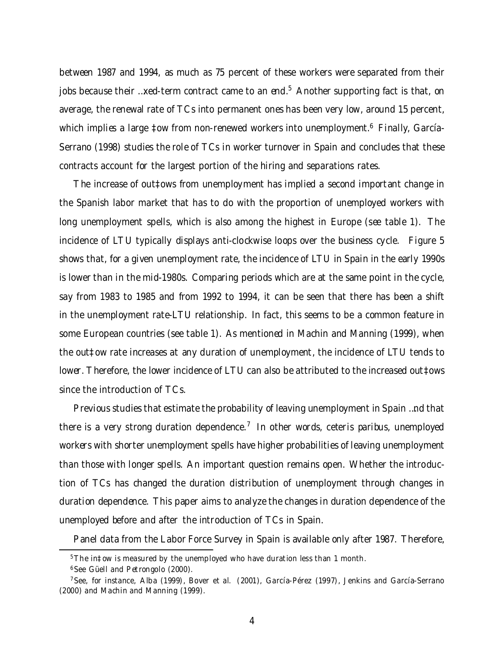between 1987 and 1994, as much as 75 percent of these workers were separated from their jobs because their …xed-term contract came to an end.<sup>5</sup> Another supporting fact is that, on average, the renewal rate of TCs into permanent ones has been very low, around 15 percent, which implies a large ‡ow from non-renewed workers into unemployment.<sup>6</sup> Finally, García-Serrano (1998) studies the role of TCs in worker turnover in Spain and concludes that these contracts account for the largest portion of the hiring and separations rates.

The increase of out‡ows from unemployment has implied a second important change in the Spanish labor market that has to do with the proportion of unemployed workers with long unemployment spells, which is also among the highest in Europe (see table 1). The incidence of LTU typically displays anti-clockwise loops over the business cycle. Figure 5 shows that, for a given unemployment rate, the incidence of LTU in Spain in the early 1990s is lower than in the mid-1980s. Comparing periods which are at the same point in the cycle, say from 1983 to 1985 and from 1992 to 1994, it can be seen that there has been a shift in the unemployment rate-LTU relationship. In fact, this seems to be a common feature in some European countries (see table 1). As mentioned in Machin and Manning (1999), when the out‡ow rate increases at any duration of unemployment, the incidence of LTU tends to lower. Therefore, the lower incidence of LTU can also be attributed to the increased out‡ows since the introduction of TCs.

Previous studies that estimate the probability of leaving unemployment in Spain …nd that there is a very strong duration dependence.<sup>7</sup> In other words, ceteris paribus, unemployed workers with shorter unemployment spells have higher probabilities of leaving unemployment than those with longer spells. An important question remains open. Whether the introduction of TCs has changed the duration distribution of unemployment through changes in duration dependence. This paper aims to analyze the changes in duration dependence of the unemployed before and after the introduction of TCs in Spain.

Panel data from the Labor Force Survey in Spain is available only after 1987. Therefore,

<sup>5</sup>The in‡ow is measured by the unemployed who have duration less than 1 month.

<sup>6</sup>See Güell and Petrongolo (2000).

<sup>7</sup>See, for instance, Alba (1999), Bover et al. (2001), García-Pérez (1997), Jenkins and García-Serrano (2000) and Machin and Manning (1999).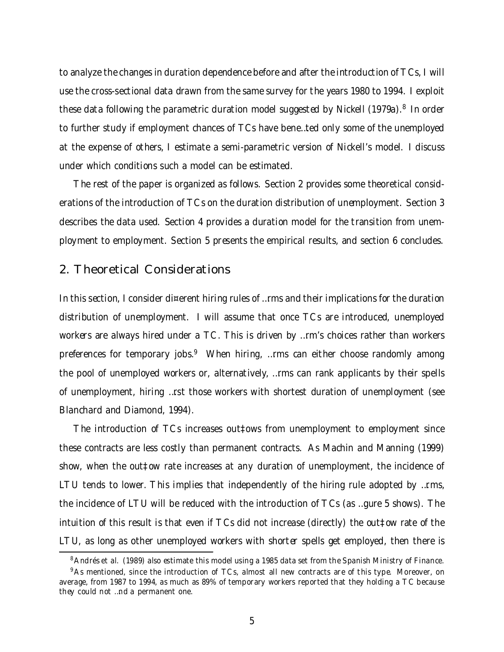to analyze the changes in duration dependence before and after the introduction of TCs, I will use the cross-sectional data drawn from the same survey for the years 1980 to 1994. I exploit these data following the parametric duration model suggested by Nickell (1979a).<sup>8</sup> In order to further study if employment chances of TCs have bene…ted only some of the unemployed at the expense of others, I estimate a semi-parametric version of Nickell's model. I discuss under which conditions such a model can be estimated.

The rest of the paper is organized as follows. Section 2 provides some theoretical considerations of the introduction of TCs on the duration distribution of unemployment. Section 3 describes the data used. Section 4 provides a duration model for the transition from unemployment to employment. Section 5 presents the empirical results, and section 6 concludes.

#### 2. Theoretical Considerations

In this section, I consider di¤erent hiring rules of ... rms and their implications for the duration distribution of unemployment. I will assume that once TCs are introduced, unemployed workers are always hired under a TC. This is driven by …rm's choices rather than workers preferences for temporary jobs.<sup>9</sup> When hiring, ...rms can either choose randomly among the pool of unemployed workers or, alternatively, …rms can rank applicants by their spells of unemployment, hiring …rst those workers with shortest duration of unemployment (see Blanchard and Diamond, 1994).

The introduction of TCs increases out‡ows from unemployment to employment since these contracts are less costly than permanent contracts. As Machin and Manning (1999) show, when the out‡ow rate increases at any duration of unemployment, the incidence of LTU tends to lower. This implies that independently of the hiring rule adopted by …rms, the incidence of LTU will be reduced with the introduction of TCs (as …gure 5 shows). The intuition of this result is that even if TCs did not increase (directly) the out‡ow rate of the LTU, as long as other unemployed workers with shorter spells get employed, then there is

<sup>&</sup>lt;sup>8</sup> Andrés et al. (1989) also estimate this model using a 1985 data set from the Spanish Ministry of Finance.

<sup>&</sup>lt;sup>9</sup>As mentioned, since the introduction of TCs, almost all new contracts are of this type. Moreover, on average, from 1987 to 1994, as much as 89% of temporary workers reported that they holding a TC because they could not …nd a permanent one.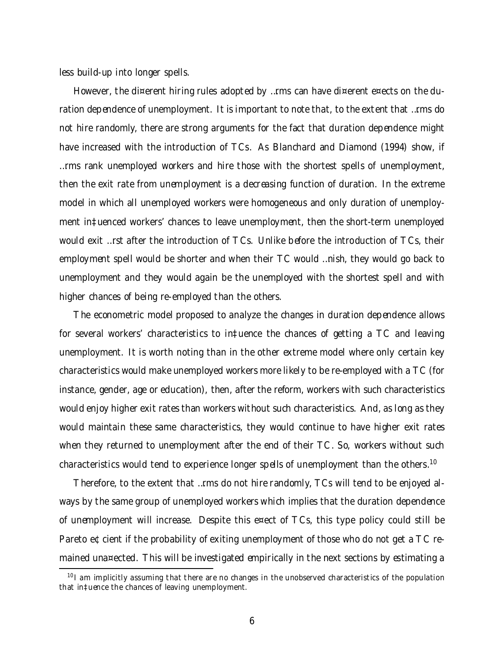less build-up into longer spells.

However, the di¤erent hiring rules adopted by …rms can have di¤erent e¤ects on the duration dependence of unemployment. It is important to note that, to the extent that …rms do not hire randomly, there are strong arguments for the fact that duration dependence might have increased with the introduction of TCs. As Blanchard and Diamond (1994) show, if …rms rank unemployed workers and hire those with the shortest spells of unemployment, then the exit rate from unemployment is a decreasing function of duration. In the extreme model in which all unemployed workers were homogeneous and only duration of unemployment in‡uenced workers' chances to leave unemployment, then the short-term unemployed would exit …rst after the introduction of TCs. Unlike before the introduction of TCs, their employment spell would be shorter and when their TC would …nish, they would go back to unemployment and they would again be the unemployed with the shortest spell and with higher chances of being re-employed than the others.

The econometric model proposed to analyze the changes in duration dependence allows for several workers' characteristics to in‡uence the chances of getting a TC and leaving unemployment. It is worth noting than in the other extreme model where only certain key characteristics would make unemployed workers more likely to be re-employed with a TC (for instance, gender, age or education), then, after the reform, workers with such characteristics would enjoy higher exit rates than workers without such characteristics. And, as long as they would maintain these same characteristics, they would continue to have higher exit rates when they returned to unemployment after the end of their TC. So, workers without such characteristics would tend to experience longer spells of unemployment than the others. $^{\rm 10}$ 

Therefore, to the extent that …rms do not hire randomly, TCs will tend to be enjoyed always by the same group of unemployed workers which implies that the duration dependence of unemployment will increase. Despite this e¤ect of TCs, this type policy could still be Pareto e¢cient if the probability of exiting unemployment of those who do not get a TC remained una¤ected. This will be investigated empirically in the next sections by estimating a

<sup>&</sup>lt;sup>10</sup> I am implicitly assuming that there are no changes in the unobserved characteristics of the population that in‡uence the chances of leaving unemployment.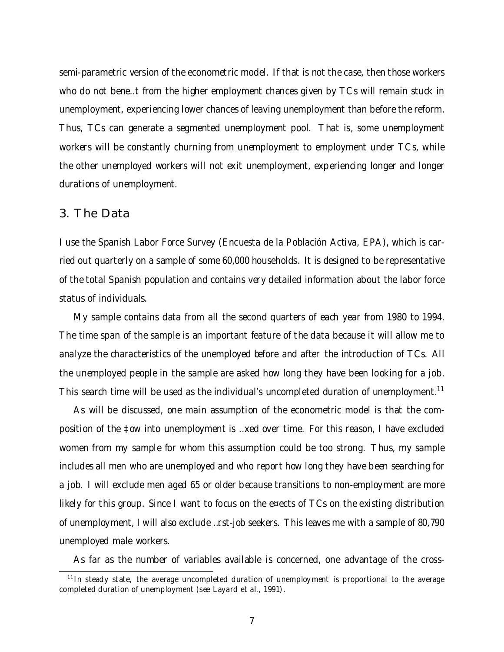semi-parametric version of the econometric model. If that is not the case, then those workers who do not bene…t from the higher employment chances given by TCs will remain stuck in unemployment, experiencing lower chances of leaving unemployment than before the reform. Thus, TCs can generate a segmented unemployment pool. That is, some unemployment workers will be constantly churning from unemployment to employment under TCs, while the other unemployed workers will not exit unemployment, experiencing longer and longer durations of unemployment.

#### 3. The Data

I use the Spanish Labor Force Survey (Encuesta de la Población Activa, EPA), which is carried out quarterly on a sample of some 60,000 households. It is designed to be representative of the total Spanish population and contains very detailed information about the labor force status of individuals.

My sample contains data from all the second quarters of each year from 1980 to 1994. The time span of the sample is an important feature of the data because it will allow me to analyze the characteristics of the unemployed before and after the introduction of TCs. All the unemployed people in the sample are asked how long they have been looking for a job. This search time will be used as the individual's uncompleted duration of unemployment.<sup>11</sup>

As will be discussed, one main assumption of the econometric model is that the composition of the ‡ow into unemployment is …xed over time. For this reason, I have excluded women from my sample for whom this assumption could be too strong. Thus, my sample includes all men who are unemployed and who report how long they have been searching for a job. I will exclude men aged 65 or older because transitions to non-employment are more likely for this group. Since I want to focus on the e¤ects of TCs on the existing distribution of unemployment, I will also exclude …rst-job seekers. This leaves me with a sample of 80,790 unemployed male workers.

As far as the number of variables available is concerned, one advantage of the cross-

<sup>&</sup>lt;sup>11</sup> In steady state, the average uncompleted duration of unemployment is proportional to the average completed duration of unemployment (see Layard et al., 1991).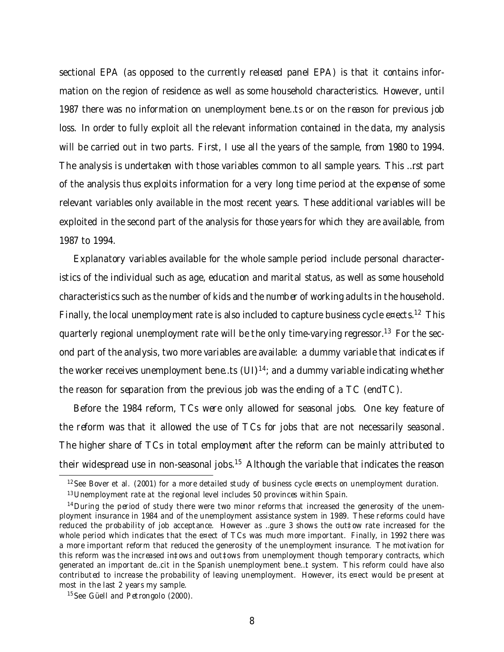sectional EPA (as opposed to the currently released panel EPA) is that it contains information on the region of residence as well as some household characteristics. However, until 1987 there was no information on unemployment bene…ts or on the reason for previous job loss. In order to fully exploit all the relevant information contained in the data, my analysis will be carried out in two parts. First, I use all the years of the sample, from 1980 to 1994. The analysis is undertaken with those variables common to all sample years. This …rst part of the analysis thus exploits information for a very long time period at the expense of some relevant variables only available in the most recent years. These additional variables will be exploited in the second part of the analysis for those years for which they are available, from 1987 to 1994.

Explanatory variables available for the whole sample period include personal characteristics of the individual such as age, education and marital status, as well as some household characteristics such as the number of kids and the number of working adults in the household. Finally, the local unemployment rate is also included to capture business cycle e¤ects.<sup>12</sup> This quarterly regional unemployment rate will be the only time-varying regressor.<sup>13</sup> For the second part of the analysis, two more variables are available: a dummy variable that indicates if the worker receives unemployment bene…ts (UI) 14 ; and a dummy variable indicating whether the reason for separation from the previous job was the ending of a TC (endTC).

Before the 1984 reform, TCs were only allowed for seasonal jobs. One key feature of the reform was that it allowed the use of TCs for jobs that are not necessarily seasonal. The higher share of TCs in total employment after the reform can be mainly attributed to their widespread use in non-seasonal jobs.<sup>15</sup> Although the variable that indicates the reason

<sup>12</sup> See Bover et al. (2001) for a more detailed study of business cycle e¤ects on unemployment duration.

<sup>&</sup>lt;sup>13</sup> Unemployment rate at the regional level includes 50 provinces within Spain.

 $14$  During the period of study there were two minor reforms that increased the generosity of the unemployment insurance in 1984 and of the unemployment assistance system in 1989. These reforms could have reduced the probability of job acceptance. However as …gure 3 shows the out‡ow rate increased for the whole period which indicates that the e¤ect of TCs was much more important. Finally, in 1992 there was a more important reform that reduced the generosity of the unemployment insurance. The motivation for this reform was the increased in‡ows and out‡ows from unemployment though temporary contracts, which generated an important de…cit in the Spanish unemployment bene…t system. This reform could have also contributed to increase the probability of leaving unemployment. However, its e¤ect would be present at most in the last 2 years my sample.

<sup>&</sup>lt;sup>15</sup> See Güell and Petrongolo (2000).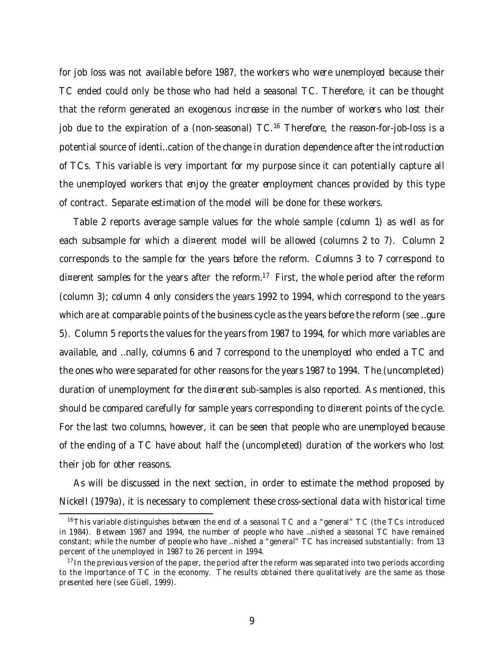for job loss was not available before 1987, the workers who were unemployed because their TC ended could only be those who had held a seasonal TC. Therefore, it can be thought that the reform generated an exogenous increase in the number of workers who lost their job due to the expiration of a (non-seasonal) TC.<sup>16</sup> Therefore, the reason-for-job-loss is a potential source of identi…cation of the change in duration dependence after the introduction of TCs. This variable is very important for my purpose since it can potentially capture all the unemployed workers that enjoy the greater employment chances provided by this type of contract. Separate estimation of the model will be done for these workers.

Table 2 reports average sample values for the whole sample (column 1) as well as for each subsample for which a di¤erent model will be allowed (columns 2 to 7). Column 2 corresponds to the sample for the years before the reform. Columns 3 to 7 correspond to di¤erent samples for the years after the reform.<sup>17</sup> First, the whole period after the reform (column 3); column 4 only considers the years 1992 to 1994, which correspond to the years which are at comparable points of the business cycle as the years before the reform (see …gure 5). Column 5 reports the values for the years from 1987 to 1994, for which more variables are available, and …nally, columns 6 and 7 correspond to the unemployed who ended a TC and the ones who were separated for other reasons for the years 1987 to 1994. The (uncompleted) duration of unemployment for the di¤erent sub-samples is also reported. As mentioned, this should be compared carefully for sample years corresponding to di¤erent points of the cycle. For the last two columns, however, it can be seen that people who are unemployed because of the ending of a TC have about half the (uncompleted) duration of the workers who lost their job for other reasons.

As will be discussed in the next section, in order to estimate the method proposed by Nickell (1979a), it is necessary to complement these cross-sectional data with historical time

<sup>&</sup>lt;sup>16</sup>This variable distinguishes between the end of a seasonal TC and a "general" TC (the TCs introduced in 1984). Between 1987 and 1994, the number of people who have …nished a seasonal TC have remained constant; while the number of people who have …nished a "general" TC has increased substantially: from 13 percent of the unemployed in 1987 to 26 percent in 1994.

 $17$  In the previous version of the paper, the period after the reform was separated into two periods according to the importance of TC in the economy. The results obtained there qualitatively are the same as those presented here (see Güell, 1999).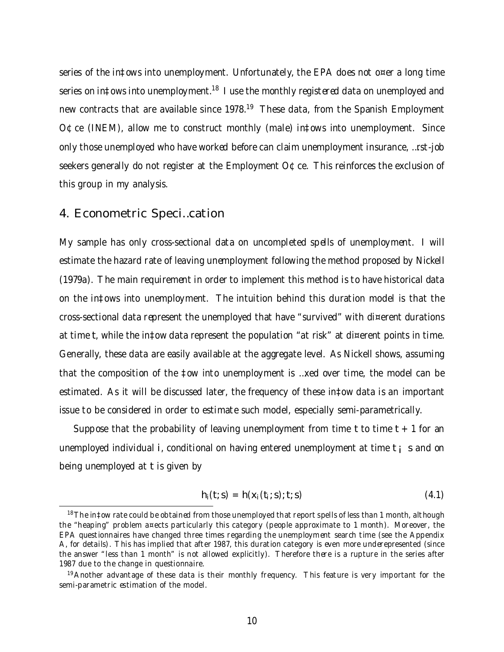series of the in‡ows into unemployment. Unfortunately, the EPA does not o¤er a long time series on in‡ows into unemployment.<sup>18</sup> I use the monthly registered data on unemployed and new contracts that are available since 1978.<sup>19</sup> These data, from the Spanish Employment O¢ce (INEM), allow me to construct monthly (male) in‡ows into unemployment. Since only those unemployed who have worked before can claim unemployment insurance, …rst-job seekers generally do not register at the Employment O¢ce. This reinforces the exclusion of this group in my analysis.

#### 4. Econometric Speci…cation

My sample has only cross-sectional data on uncompleted spells of unemployment. I will estimate the hazard rate of leaving unemployment following the method proposed by Nickell (1979a). The main requirement in order to implement this method is to have historical data on the in‡ows into unemployment. The intuition behind this duration model is that the cross-sectional data represent the unemployed that have "survived" with di¤erent durations at time t, while the in‡ow data represent the population "at risk" at di¤erent points in time. Generally, these data are easily available at the aggregate level. As Nickell shows, assuming that the composition of the ‡ow into unemployment is …xed over time, the model can be estimated. As it will be discussed later, the frequency of these in‡ow data is an important issue to be considered in order to estimate such model, especially semi-parametrically.

Suppose that the probability of leaving unemployment from time t to time  $t + 1$  for an unemployed individual i, conditional on having entered unemployment at time  $t_i$  s and on being unemployed at t is given by

$$
h_i(t; s) = h(x_i(t_i; s); t; s)
$$
 (4.1)

 $18$ The in‡ow rate could be obtained from those unemployed that report spells of less than 1 month, although the "heaping" problem a¤ects particularly this category (people approximate to 1 month). Moreover, the EPA questionnaires have changed three times regarding the unemployment search time (see the Appendix A, for details). This has implied that after 1987, this duration category is even more underepresented (since the answer "less than 1 month" is not allowed explicitly). Therefore there is a rupture in the series after 1987 due to the change in questionnaire.

<sup>&</sup>lt;sup>19</sup> Another advantage of these data is their monthly frequency. This feature is very important for the semi-parametric estimation of the model.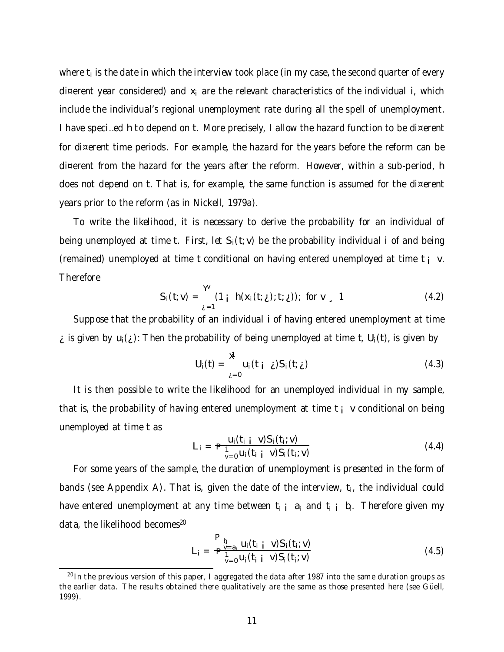where  $t_i$  is the date in which the interview took place (in my case, the second quarter of every di¤erent year considered) and  $x_i$  are the relevant characteristics of the individual i, which include the individual's regional unemployment rate during all the spell of unemployment. I have speci…ed h to depend on t. More precisely, I allow the hazard function to be di¤erent for di¤erent time periods. For example, the hazard for the years before the reform can be di¤erent from the hazard for the years after the reform. However, within a sub-period, h does not depend on t. That is, for example, the same function is assumed for the di¤erent years prior to the reform (as in Nickell, 1979a).

To write the likelihood, it is necessary to derive the probability for an individual of being unemployed at time t. First, let  $S_i(t; v)$  be the probability individual i of and being (remained) unemployed at time t conditional on having entered unemployed at time  $t_i$  v. Therefore

$$
S_i(t; v) = \frac{v}{\lambda^{2}} (1 + h(x_i(t; \lambda); t; \lambda)) \text{ for } v > 1
$$
 (4.2)

Suppose that the probability of an individual i of having entered unemployment at time is given by  $u_i(j)$ : Then the probability of being unemployed at time t,  $U_i(t)$ , is given by

$$
U_i(t) = \sum_{\lambda=0}^{t} u_i(t_{i\lambda}) S_i(t_{i\lambda})
$$
 (4.3)

It is then possible to write the likelihood for an unemployed individual in my sample, that is, the probability of having entered unemployment at time  $t_i$  v conditional on being unemployed at time t as

$$
L_i = \mathbf{P}_{\substack{1 \\ v=0}}^{\mathsf{u}_i(t_i + v)S_i(t_i; v)} \tag{4.4}
$$

For some years of the sample, the duration of unemployment is presented in the form of bands (see Appendix A). That is, given the date of the interview,  $t_i$ , the individual could have entered unemployment at any time between t<sub>i i</sub> a<sub>i</sub> and t<sub>i i</sub> b<sub>i</sub>. Therefore given my data, the likelihood becomes 20

$$
L_{i} = \frac{\mathbf{P}_{b_{i}}}{\mathbf{P}_{v=0}^{V=a_{i}}} \frac{u_{i}(t_{i} \mathbf{i} \ \mathbf{v}) S_{i}(t_{i}; \mathbf{v})}{v_{0}^{V=a_{i}}(t_{i} \mathbf{i} \ \mathbf{v}) S_{i}(t_{i}; \mathbf{v})}
$$
(4.5)

 $^{20}$ In the previous version of this paper, I aggregated the data after 1987 into the same duration groups as the earlier data. The results obtained there qualitatively are the same as those presented here (see Güell, 1999).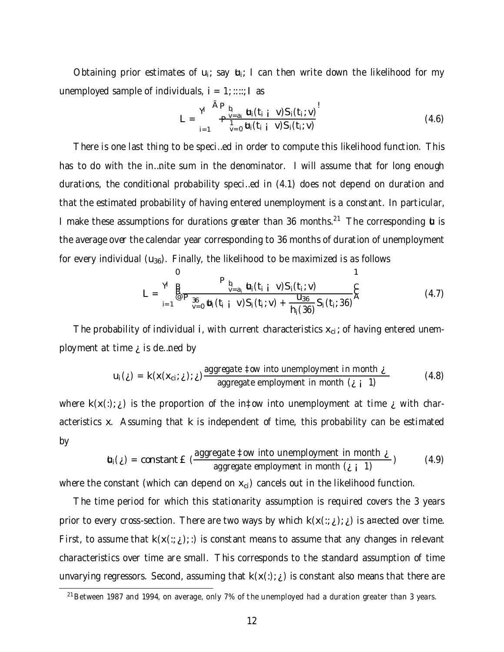Obtaining prior estimates of  $u_i$ ; say  $u_i$ ; I can then write down the likelihood for my unemployed sample of individuals,  $i = 1$ ; ::::; I as

$$
L = \frac{\mathbf{Y}}{\mathbf{P}_{b_i}} \frac{\mathbf{A} \mathbf{P}_{b_i}}{\mathbf{P}_{\mathbf{q}}^{\mathbf{V} = a_i}} \mathbf{u}_i(t_{i,i} \ \mathbf{V}) S_i(t_i; \mathbf{V})}{\mathbf{u}_i(t_{i,i} \ \mathbf{V}) S_i(t_i; \mathbf{V})}
$$
(4.6)

There is one last thing to be speci…ed in order to compute this likelihood function. This has to do with the in…nite sum in the denominator. I will assume that for long enough durations, the conditional probability speci…ed in (4.1) does not depend on duration and that the estimated probability of having entered unemployment is a constant. In particular, I make these assumptions for durations greater than 36 months.<sup>21</sup> The corresponding  $\boldsymbol{u}$  is the average over the calendar year corresponding to 36 months of duration of unemployment for every individual  $(u_{36})$ . Finally, the likelihood to be maximized is as follows

$$
L = \sum_{i=1}^{V} \sum_{j=0}^{B} \frac{P_{b_i}}{P_{\substack{36 \\ y=0}}} \frac{b_i(t_{i} + v)S_i(t_i; v)}{b_i(t_{i} + v)S_i(t_i; v) + \frac{u_{36}}{h_i(36)}S_i(t_i; 36)} \sum_{i=1}^{N} (4.7)
$$

The probability of individual i, with current characteristics  $x_{ci}$ ; of having entered unemployment at time  $\chi$  is de ... ned by

$$
u_i(\xi) = k(x(x_{\text{ci}}; \xi); \xi) \frac{\text{aggregate } \text{tow into un employment in month } \xi}{\text{aggregate employment in month } (\xi \text{ i } 1)}
$$
(4.8)

where  $k(x(:); j)$  is the proportion of the in‡ow into unemployment at time  $j$  with characteristics x. Assuming that k is independent of time, this probability can be estimated by

$$
\mathbf{t}_i(\xi) = \text{constant} \cdot \mathbf{E} \left( \frac{\text{aggregate} \pm \text{ow into un employment in month } \xi}{\text{aggregate employment in month } (\xi \pm 1)} \right) \tag{4.9}
$$

where the constant (which can depend on  $x_{ci}$ ) cancels out in the likelihood function.

The time period for which this stationarity assumption is required covers the 3 years prior to every cross-section. There are two ways by which  $k(x(:,\xi); \xi)$  is a¤ected over time. First, to assume that  $k(x(:, i))$ ; i) is constant means to assume that any changes in relevant characteristics over time are small. This corresponds to the standard assumption of time unvarying regressors. Second, assuming that  $k(x(:); j)$  is constant also means that there are

 $21$ Between 1987 and 1994, on average, only 7% of the unemployed had a duration greater than 3 years.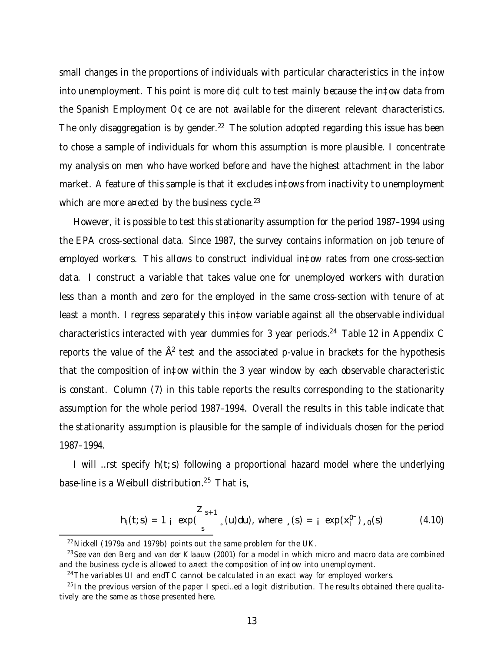small changes in the proportions of individuals with particular characteristics in the in‡ow into unemployment. This point is more di $\Phi$ cult to test mainly because the in‡ow data from the Spanish Employment O¢ce are not available for the di¤erent relevant characteristics. The only disaggregation is by gender.<sup>22</sup> The solution adopted regarding this issue has been to chose a sample of individuals for whom this assumption is more plausible. I concentrate my analysis on men who have worked before and have the highest attachment in the labor market. A feature of this sample is that it excludes in‡ows from inactivity to unemployment which are more a¤ected by the business cycle. $^{23}$ 

However, it is possible to test this stationarity assumption for the period 1987–1994 using the EPA cross-sectional data. Since 1987, the survey contains information on job tenure of employed workers. This allows to construct individual in‡ow rates from one cross-section data. I construct a variable that takes value one for unemployed workers with duration less than a month and zero for the employed in the same cross-section with tenure of at least a month. I regress separately this in‡ow variable against all the observable individual characteristics interacted with year dummies for 3 year periods.<sup>24</sup> Table 12 in Appendix C reports the value of the  $\hat{\sf A}^2$  test and the associated p-value in brackets for the hypothesis that the composition of in‡ow within the 3 year window by each observable characteristic is constant. Column (7) in this table reports the results corresponding to the stationarity assumption for the whole period 1987–1994. Overall the results in this table indicate that the stationarity assumption is plausible for the sample of individuals chosen for the period 1987–1994.

I will …rst specify h(t; s) following a proportional hazard model where the underlying base-line is a Weibull distribution. <sup>25</sup> That is,

$$
h_i(t; s) = 1 \t i \t exp(\int_s^{z_{s+1}} (u) du), \text{ where } (s) = i \exp(x_i^0), (s)
$$
 (4.10)

 $22$ Nickell (1979a and 1979b) points out the same problem for the UK.

 $^{23}$ See van den Berg and van der Klaauw (2001) for a model in which micro and macro data are combined and the business cycle is allowed to a¤ect the composition of in‡ow into unemployment.

 $24$ The variables UI and endTC cannot be calculated in an exact way for employed workers.

 $^{25}$ In the previous version of the paper I speci…ed a logit distribution. The results obtained there qualitatively are the same as those presented here.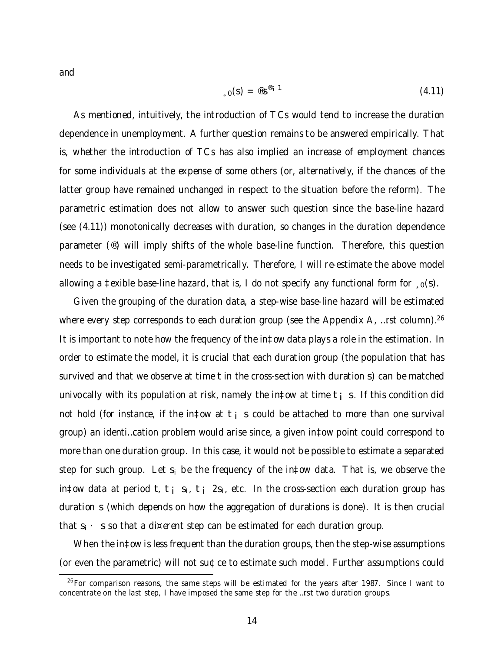and

$$
L_{\mathfrak{g}}(S) = \mathfrak{G}S^{\mathfrak{G}_i - 1} \tag{4.11}
$$

As mentioned, intuitively, the introduction of TCs would tend to increase the duration dependence in unemployment. A further question remains to be answered empirically. That is, whether the introduction of TCs has also implied an increase of employment chances for some individuals at the expense of some others (or, alternatively, if the chances of the latter group have remained unchanged in respect to the situation before the reform). The parametric estimation does not allow to answer such question since the base-line hazard (see (4.11)) monotonically decreases with duration, so changes in the duration dependence parameter (®) will imply shifts of the whole base-line function. Therefore, this question needs to be investigated semi-parametrically. Therefore, I will re-estimate the above model allowing a ‡exible base-line hazard, that is, I do not specify any functional form for  $\zeta_0(s)$ .

Given the grouping of the duration data, a step-wise base-line hazard will be estimated where every step corresponds to each duration group (see the Appendix A, ...rst column).<sup>26</sup> It is important to note how the frequency of the in‡ow data plays a role in the estimation. In order to estimate the model, it is crucial that each duration group (the population that has survived and that we observe at time t in the cross-section with duration s) can be matched univocally with its population at risk, namely the in‡ow at time  $t_i$  s. If this condition did not hold (for instance, if the in‡ow at t; s could be attached to more than one survival group) an identi…cation problem would arise since, a given in‡ow point could correspond to more than one duration group. In this case, it would not be possible to estimate a separated step for such group. Let  $s_i$  be the frequency of the in‡ow data. That is, we observe the in‡ow data at period t, t i  $s_i$ , t i  $2s_i$ , etc. In the cross-section each duration group has duration s (which depends on how the aggregation of durations is done). It is then crucial that  $s_i \cdot s$  so that a di¤erent step can be estimated for each duration group.

When the in‡ow is less frequent than the duration groups, then the step-wise assumptions (or even the parametric) will not su¢ce to estimate such model. Further assumptions could

 $26$  For comparison reasons, the same steps will be estimated for the years after 1987. Since I want to concentrate on the last step, I have imposed the same step for the …rst two duration groups.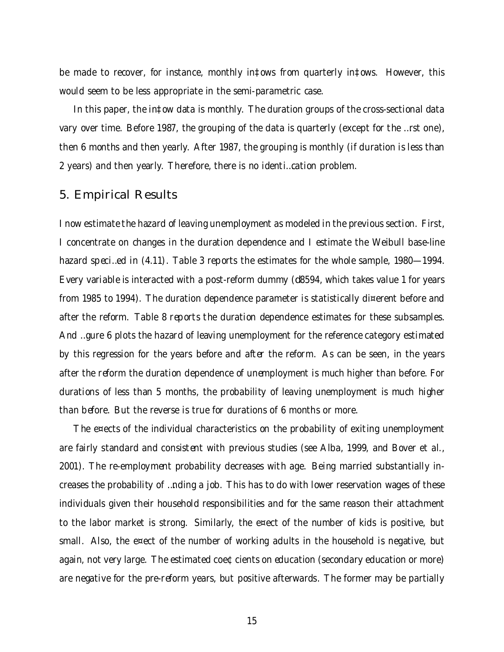be made to recover, for instance, monthly in‡ows from quarterly in‡ows. However, this would seem to be less appropriate in the semi-parametric case.

In this paper, the in‡ow data is monthly. The duration groups of the cross-sectional data vary over time. Before 1987, the grouping of the data is quarterly (except for the …rst one), then 6 months and then yearly. After 1987, the grouping is monthly (if duration is less than 2 years) and then yearly. Therefore, there is no identi…cation problem.

#### 5. Empirical Results

I now estimate the hazard of leaving unemployment as modeled in the previous section. First, I concentrate on changes in the duration dependence and I estimate the Weibull base-line hazard speci…ed in (4.11). Table 3 reports the estimates for the whole sample, 1980—1994. Every variable is interacted with a post-reform dummy (d8594, which takes value 1 for years from 1985 to 1994). The duration dependence parameter is statistically di¤erent before and after the reform. Table 8 reports the duration dependence estimates for these subsamples. And …gure 6 plots the hazard of leaving unemployment for the reference category estimated by this regression for the years before and after the reform. As can be seen, in the years after the reform the duration dependence of unemployment is much higher than before. For durations of less than 5 months, the probability of leaving unemployment is much higher than before. But the reverse is true for durations of 6 months or more.

The e¤ects of the individual characteristics on the probability of exiting unemployment are fairly standard and consistent with previous studies (see Alba, 1999, and Bover et al., 2001). The re-employment probability decreases with age. Being married substantially increases the probability of …nding a job. This has to do with lower reservation wages of these individuals given their household responsibilities and for the same reason their attachment to the labor market is strong. Similarly, the e¤ect of the number of kids is positive, but small. Also, the e¤ect of the number of working adults in the household is negative, but again, not very large. The estimated coe¢cients on education (secondary education or more) are negative for the pre-reform years, but positive afterwards. The former may be partially

15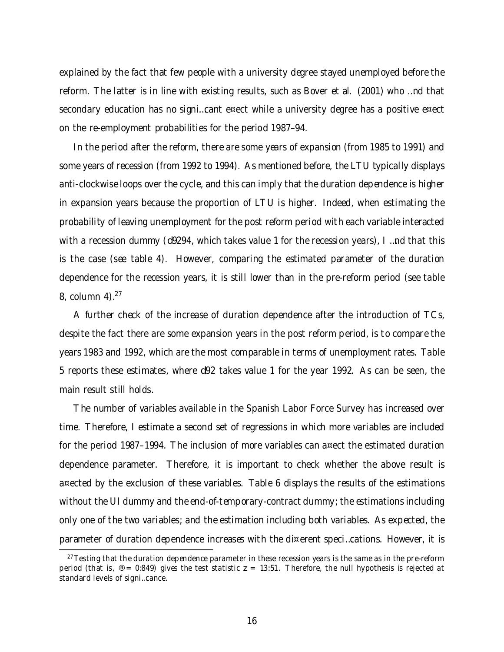explained by the fact that few people with a university degree stayed unemployed before the reform. The latter is in line with existing results, such as Bover et al. (2001) who …nd that secondary education has no signi…cant e¤ect while a university degree has a positive e¤ect on the re-employment probabilities for the period 1987–94.

In the period after the reform, there are some years of expansion (from 1985 to 1991) and some years of recession (from 1992 to 1994). As mentioned before, the LTU typically displays anti-clockwise loops over the cycle, and this can imply that the duration dependence is higher in expansion years because the proportion of LTU is higher. Indeed, when estimating the probability of leaving unemployment for the post reform period with each variable interacted with a recession dummy (d9294, which takes value 1 for the recession years), I …nd that this is the case (see table 4). However, comparing the estimated parameter of the duration dependence for the recession years, it is still lower than in the pre-reform period (see table 8, column 4). $27$ 

A further check of the increase of duration dependence after the introduction of TCs, despite the fact there are some expansion years in the post reform period, is to compare the years 1983 and 1992, which are the most comparable in terms of unemployment rates. Table 5 reports these estimates, where d92 takes value 1 for the year 1992. As can be seen, the main result still holds.

The number of variables available in the Spanish Labor Force Survey has increased over time. Therefore, I estimate a second set of regressions in which more variables are included for the period 1987–1994. The inclusion of more variables can a¤ect the estimated duration dependence parameter. Therefore, it is important to check whether the above result is a¤ected by the exclusion of these variables. Table 6 displays the results of the estimations without the UI dummy and the end-of-temporary-contract dummy; the estimations including only one of the two variables; and the estimation including both variables. As expected, the parameter of duration dependence increases with the di¤erent speci…cations. However, it is

 $27$ Testing that the duration dependence parameter in these recession years is the same as in the pre-reform period (that is,  $\mathcal{D} = 0.849$ ) gives the test statistic  $z = 13:51$ . Therefore, the null hypothesis is rejected at standard levels of signi…cance.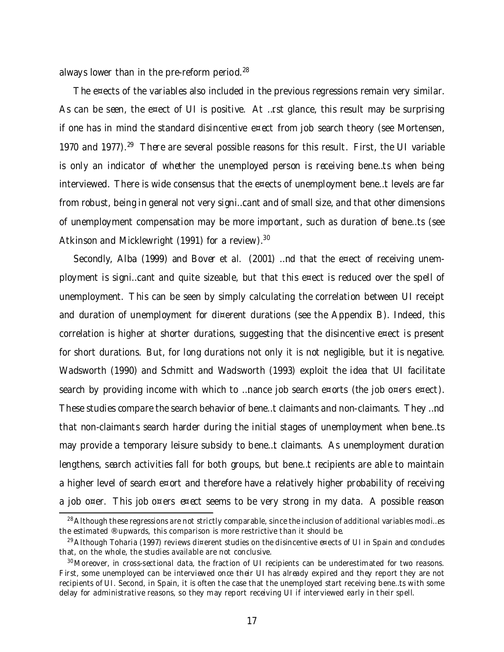always lower than in the pre-reform period.<sup>28</sup>

The e¤ects of the variables also included in the previous regressions remain very similar. As can be seen, the e¤ect of UI is positive. At ...rst glance, this result may be surprising if one has in mind the standard disincentive e¤ect from job search theory (see Mortensen, 1970 and 1977).<sup>29</sup> There are several possible reasons for this result. First, the UI variable is only an indicator of whether the unemployed person is receiving bene…ts when being interviewed. There is wide consensus that the e¤ects of unemployment bene…t levels are far from robust, being in general not very signi…cant and of small size, and that other dimensions of unemployment compensation may be more important, such as duration of bene…ts (see Atkinson and Micklewright (1991) for a review).<sup>30</sup>

Secondly, Alba (1999) and Bover et al. (2001) …nd that the e¤ect of receiving unemployment is signi…cant and quite sizeable, but that this e¤ect is reduced over the spell of unemployment. This can be seen by simply calculating the correlation between UI receipt and duration of unemployment for di¤erent durations (see the Appendix B). Indeed, this correlation is higher at shorter durations, suggesting that the disincentive e¤ect is present for short durations. But, for long durations not only it is not negligible, but it is negative. Wadsworth (1990) and Schmitt and Wadsworth (1993) exploit the idea that UI facilitate search by providing income with which to …nance job search e¤orts (the job o¤ers e¤ect). These studies compare the search behavior of bene…t claimants and non-claimants. They …nd that non-claimants search harder during the initial stages of unemployment when bene…ts may provide a temporary leisure subsidy to bene…t claimants. As unemployment duration lengthens, search activities fall for both groups, but bene…t recipients are able to maintain a higher level of search e¤ort and therefore have a relatively higher probability of receiving a job o¤er. This job o¤ers e¤ect seems to be very strong in my data. A possible reason

 $^{28}$ Although these regressions are not strictly comparable, since the inclusion of additional variables modi...es the estimated ® upwards, this comparison is more restrictive than it should be.

<sup>&</sup>lt;sup>29</sup>Although Toharia (1997) reviews di¤erent studies on the disincentive e¤ects of UI in Spain and concludes that, on the whole, the studies available are not conclusive.

<sup>&</sup>lt;sup>30</sup> Moreover, in cross-sectional data, the fraction of UI recipients can be underestimated for two reasons. First, some unemployed can be interviewed once their UI has already expired and they report they are not recipients of UI. Second, in Spain, it is often the case that the unemployed start receiving bene…ts with some delay for administrative reasons, so they may report receiving UI if interviewed early in their spell.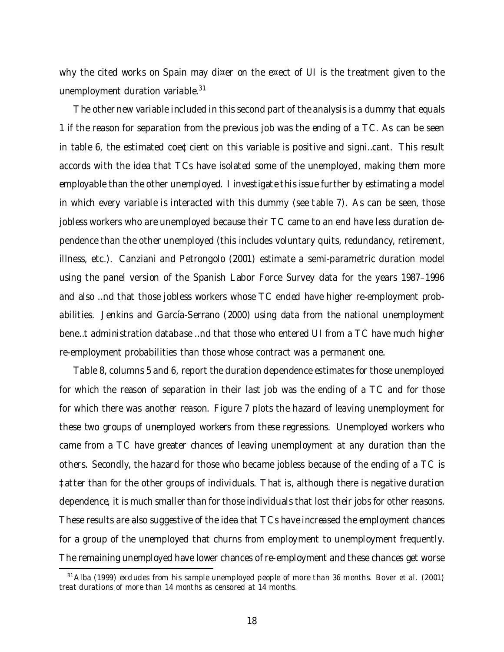why the cited works on Spain may di¤er on the e¤ect of UI is the treatment given to the unemployment duration variable.<sup>31</sup>

The other new variable included in this second part of the analysis is a dummy that equals 1 if the reason for separation from the previous job was the ending of a TC. As can be seen in table 6, the estimated coe¢cient on this variable is positive and signi…cant. This result accords with the idea that TCs have isolated some of the unemployed, making them more employable than the other unemployed. I investigate this issue further by estimating a model in which every variable is interacted with this dummy (see table 7). As can be seen, those jobless workers who are unemployed because their TC came to an end have less duration dependence than the other unemployed (this includes voluntary quits, redundancy, retirement, illness, etc.). Canziani and Petrongolo (2001) estimate a semi-parametric duration model using the panel version of the Spanish Labor Force Survey data for the years 1987–1996 and also …nd that those jobless workers whose TC ended have higher re-employment probabilities. Jenkins and García-Serrano (2000) using data from the national unemployment bene…t administration database …nd that those who entered UI from a TC have much higher re-employment probabilities than those whose contract was a permanent one.

Table 8, columns 5 and 6, report the duration dependence estimates for those unemployed for which the reason of separation in their last job was the ending of a TC and for those for which there was another reason. Figure 7 plots the hazard of leaving unemployment for these two groups of unemployed workers from these regressions. Unemployed workers who came from a TC have greater chances of leaving unemployment at any duration than the others. Secondly, the hazard for those who became jobless because of the ending of a TC is ‡atter than for the other groups of individuals. That is, although there is negative duration dependence, it is much smaller than for those individuals that lost their jobs for other reasons. These results are also suggestive of the idea that TCs have increased the employment chances for a group of the unemployed that churns from employment to unemployment frequently. The remaining unemployed have lower chances ofre-employment and these chances get worse

 $31$ Alba (1999) excludes from his sample unemployed people of more than 36 months. Bover et al. (2001) treat durations of more than 14 months as censored at 14 months.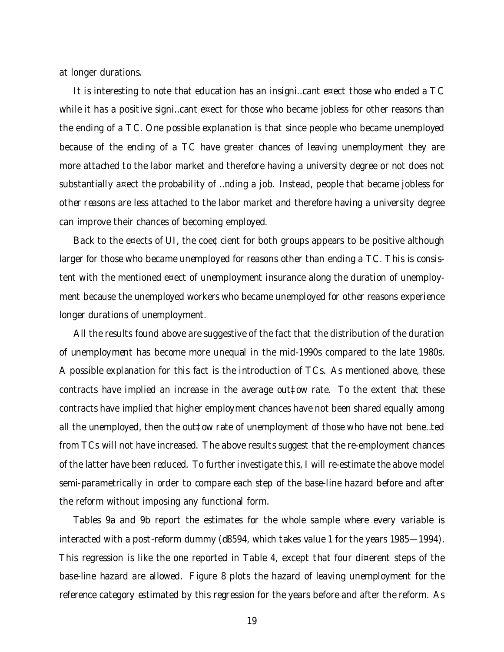at longer durations.

It is interesting to note that education has an insigni…cant e¤ect those who ended a TC while it has a positive signi...cant e¤ect for those who became jobless for other reasons than the ending of a TC. One possible explanation is that since people who became unemployed because of the ending of a TC have greater chances of leaving unemployment they are more attached to the labor market and therefore having a university degree or not does not substantially a¤ect the probability of …nding a job. Instead, people that became jobless for other reasons are less attached to the labor market and therefore having a university degree can improve their chances of becoming employed.

Back to the e¤ects of UI, the coe¢cient for both groups appears to be positive although larger for those who became unemployed for reasons other than ending a TC. This is consistent with the mentioned e¤ect of unemployment insurance along the duration of unemployment because the unemployed workers who became unemployed for other reasons experience longer durations of unemployment.

All the results found above are suggestive of the fact that the distribution of the duration of unemployment has become more unequal in the mid-1990s compared to the late 1980s. A possible explanation for this fact is the introduction of TCs. As mentioned above, these contracts have implied an increase in the average out‡ow rate. To the extent that these contracts have implied that higher employment chances have not been shared equally among all the unemployed, then the out‡ow rate of unemployment of those who have not bene…ted from TCs will not have increased. The above results suggest that the re-employment chances of the latter have been reduced. To furtherinvestigate this, I will re-estimate the above model semi-parametrically in order to compare each step of the base-line hazard before and after the reform without imposing any functional form.

Tables 9a and 9b report the estimates for the whole sample where every variable is interacted with a post-reform dummy (d8594, which takes value 1 for the years 1985—1994). This regression is like the one reported in Table 4, except that four di¤erent steps of the base-line hazard are allowed. Figure 8 plots the hazard of leaving unemployment for the reference category estimated by this regression for the years before and after the reform. As

19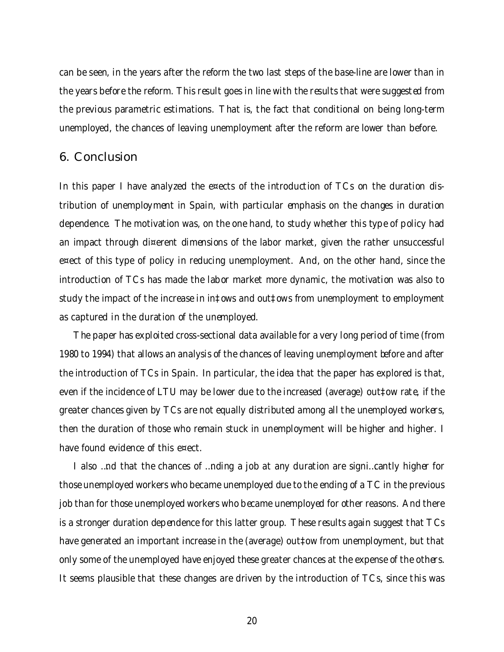can be seen, in the years after the reform the two last steps of the base-line are lower than in the years before the reform. This result goes in line with the results that were suggested from the previous parametric estimations. That is, the fact that conditional on being long-term unemployed, the chances of leaving unemployment after the reform are lower than before.

#### 6. Conclusion

In this paper I have analyzed the e¤ects of the introduction of TCs on the duration distribution of unemployment in Spain, with particular emphasis on the changes in duration dependence. The motivation was, on the one hand, to study whether this type of policy had an impact through di¤erent dimensions of the labor market, given the rather unsuccessful e¤ect of this type of policy in reducing unemployment. And, on the other hand, since the introduction of TCs has made the labor market more dynamic, the motivation was also to study the impact of the increase in in‡ows and out‡ows from unemployment to employment as captured in the duration of the unemployed.

The paper has exploited cross-sectional data available for a very long period of time (from 1980 to 1994) that allows an analysis of the chances of leaving unemployment before and after the introduction of TCs in Spain. In particular, the idea that the paper has explored is that, even if the incidence of LTU may be lower due to the increased (average) out‡ow rate, if the greater chances given by TCs are not equally distributed among all the unemployed workers, then the duration of those who remain stuck in unemployment will be higher and higher. I have found evidence of this e¤ect.

I also …nd that the chances of …nding a job at any duration are signi…cantly higher for those unemployed workers who became unemployed due to the ending of a TC in the previous job than for those unemployed workers who became unemployed for other reasons. And there is a stronger duration dependence for this latter group. These results again suggest that TCs have generated an important increase in the (average) out‡ow from unemployment, but that only some of the unemployed have enjoyed these greater chances at the expense of the others. It seems plausible that these changes are driven by the introduction of TCs, since this was

20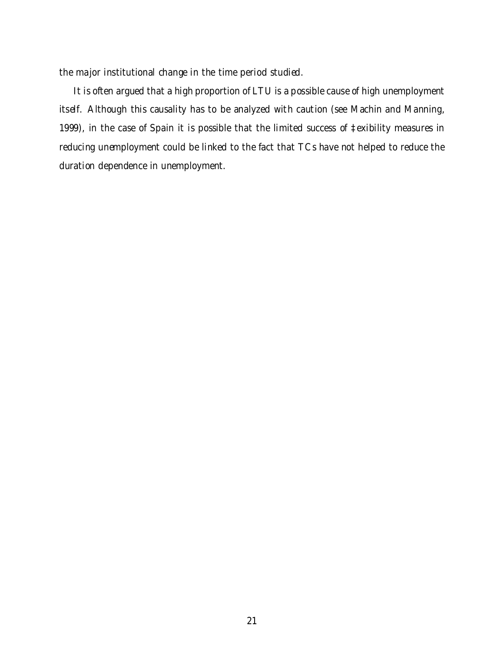the major institutional change in the time period studied.

It is often argued that a high proportion of LTU is a possible cause of high unemployment itself. Although this causality has to be analyzed with caution (see Machin and Manning, 1999), in the case of Spain it is possible that the limited success of ‡exibility measures in reducing unemployment could be linked to the fact that TCs have not helped to reduce the duration dependence in unemployment.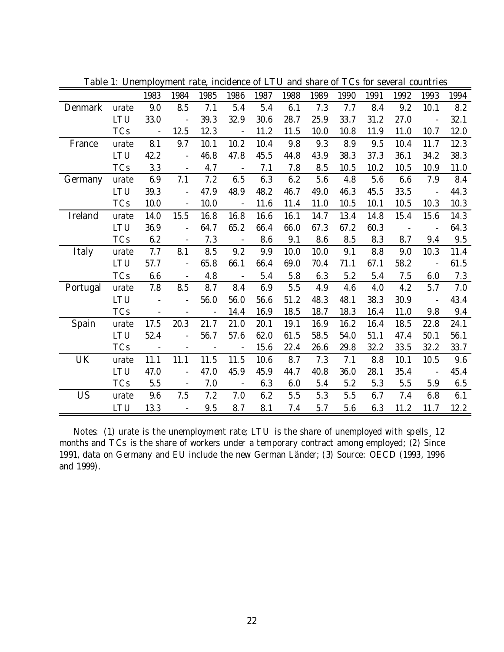|                |            | 1983                         | 1984                     | 1985                     | 1986                     | 1987 | 1988 | 1989 | 1990 | 1991 | 1992 | 1993           | 1994 |
|----------------|------------|------------------------------|--------------------------|--------------------------|--------------------------|------|------|------|------|------|------|----------------|------|
| <b>Denmark</b> | urate      | 9.0                          | 8.5                      | 7.1                      | 5.4                      | 5.4  | 6.1  | 7.3  | 7.7  | 8.4  | 9.2  | 10.1           | 8.2  |
|                | <b>LTU</b> | 33.0                         |                          | 39.3                     | 32.9                     | 30.6 | 28.7 | 25.9 | 33.7 | 31.2 | 27.0 |                | 32.1 |
|                | <b>TCs</b> | $\overline{\phantom{a}}$     | 12.5                     | 12.3                     | $\overline{\phantom{a}}$ | 11.2 | 11.5 | 10.0 | 10.8 | 11.9 | 11.0 | 10.7           | 12.0 |
| France         | urate      | 8.1                          | 9.7                      | 10.1                     | 10.2                     | 10.4 | 9.8  | 9.3  | 8.9  | 9.5  | 10.4 | 11.7           | 12.3 |
|                | LTU        | 42.2                         |                          | 46.8                     | 47.8                     | 45.5 | 44.8 | 43.9 | 38.3 | 37.3 | 36.1 | 34.2           | 38.3 |
|                | <b>TCs</b> | 3.3                          | $\overline{a}$           | 4.7                      | $\sim$                   | 7.1  | 7.8  | 8.5  | 10.5 | 10.2 | 10.5 | 10.9           | 11.0 |
| Germany        | urate      | 6.9                          | 7.1                      | 7.2                      | 6.5                      | 6.3  | 6.2  | 5.6  | 4.8  | 5.6  | 6.6  | 7.9            | 8.4  |
|                | <b>LTU</b> | 39.3                         |                          | 47.9                     | 48.9                     | 48.2 | 46.7 | 49.0 | 46.3 | 45.5 | 33.5 | $\overline{a}$ | 44.3 |
|                | <b>TCs</b> | 10.0                         |                          | 10.0                     | $\overline{\phantom{a}}$ | 11.6 | 11.4 | 11.0 | 10.5 | 10.1 | 10.5 | 10.3           | 10.3 |
| Ireland        | urate      | 14.0                         | 15.5                     | 16.8                     | 16.8                     | 16.6 | 16.1 | 14.7 | 13.4 | 14.8 | 15.4 | 15.6           | 14.3 |
|                | LTU        | 36.9                         | $\blacksquare$           | 64.7                     | 65.2                     | 66.4 | 66.0 | 67.3 | 67.2 | 60.3 |      | $\blacksquare$ | 64.3 |
|                | <b>TCs</b> | 6.2                          |                          | 7.3                      |                          | 8.6  | 9.1  | 8.6  | 8.5  | 8.3  | 8.7  | 9.4            | 9.5  |
| Italy          | urate      | 7.7                          | 8.1                      | 8.5                      | 9.2                      | 9.9  | 10.0 | 10.0 | 9.1  | 8.8  | 9.0  | 10.3           | 11.4 |
|                | LTU        | 57.7                         |                          | 65.8                     | 66.1                     | 66.4 | 69.0 | 70.4 | 71.1 | 67.1 | 58.2 |                | 61.5 |
|                | <b>TCs</b> | 6.6                          |                          | 4.8                      | $\overline{\phantom{a}}$ | 5.4  | 5.8  | 6.3  | 5.2  | 5.4  | 7.5  | 6.0            | 7.3  |
| Portugal       | urate      | 7.8                          | 8.5                      | 8.7                      | 8.4                      | 6.9  | 5.5  | 4.9  | 4.6  | 4.0  | 4.2  | 5.7            | 7.0  |
|                | LTU        |                              |                          | 56.0                     | 56.0                     | 56.6 | 51.2 | 48.3 | 48.1 | 38.3 | 30.9 |                | 43.4 |
|                | <b>TCs</b> | $\qquad \qquad \blacksquare$ | $\overline{\phantom{0}}$ | $\blacksquare$           | 14.4                     | 16.9 | 18.5 | 18.7 | 18.3 | 16.4 | 11.0 | 9.8            | 9.4  |
| Spain          | urate      | 17.5                         | 20.3                     | 21.7                     | 21.0                     | 20.1 | 19.1 | 16.9 | 16.2 | 16.4 | 18.5 | 22.8           | 24.1 |
|                | LTU        | 52.4                         | $\overline{a}$           | 56.7                     | 57.6                     | 62.0 | 61.5 | 58.5 | 54.0 | 51.1 | 47.4 | 50.1           | 56.1 |
|                | <b>TCs</b> | $\blacksquare$               | $\overline{\phantom{a}}$ | $\overline{\phantom{a}}$ | $\blacksquare$           | 15.6 | 22.4 | 26.6 | 29.8 | 32.2 | 33.5 | 32.2           | 33.7 |
| UK             | urate      | 11.1                         | 11.1                     | 11.5                     | 11.5                     | 10.6 | 8.7  | 7.3  | 7.1  | 8.8  | 10.1 | 10.5           | 9.6  |
|                | <b>LTU</b> | 47.0                         |                          | 47.0                     | 45.9                     | 45.9 | 44.7 | 40.8 | 36.0 | 28.1 | 35.4 |                | 45.4 |
|                | <b>TCs</b> | 5.5                          | ÷,                       | 7.0                      | $\blacksquare$           | 6.3  | 6.0  | 5.4  | 5.2  | 5.3  | 5.5  | 5.9            | 6.5  |
| US             | urate      | 9.6                          | 7.5                      | 7.2                      | 7.0                      | 6.2  | 5.5  | 5.3  | 5.5  | 6.7  | 7.4  | 6.8            | 6.1  |
|                | LTU        | 13.3                         |                          | 9.5                      | 8.7                      | 8.1  | 7.4  | 5.7  | 5.6  | 6.3  | 11.2 | 11.7           | 12.2 |

Table 1: Unemployment rate, incidence of LTU and share of TCs for several countries

Notes: (1) urate is the unemployment rate; LTU is the share of unemployed with spells¸12 months and TCs is the share of workers under a temporary contract among employed; (2) Since 1991, data on Germany and EU include the new German Länder; (3) Source: OECD (1993, 1996 and 1999).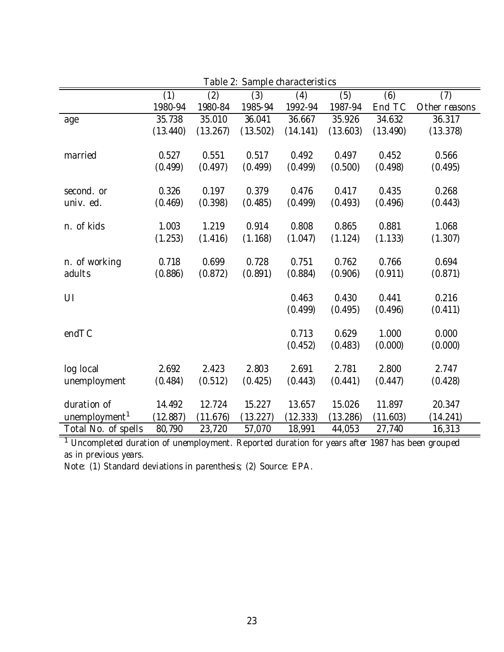| TUNIU Z.<br><b>Darripro Grafactor Bullion</b> |          |          |          |          |          |          |               |
|-----------------------------------------------|----------|----------|----------|----------|----------|----------|---------------|
|                                               | (1)      | (2)      | (3)      | (4)      | (5)      | (6)      | (7)           |
|                                               | 1980-94  | 1980-84  | 1985-94  | 1992-94  | 1987-94  | End TC   | Other reasons |
| age                                           | 35.738   | 35.010   | 36.041   | 36.667   | 35.926   | 34.632   | 36.317        |
|                                               | (13.440) | (13.267) | (13.502) | (14.141) | (13.603) | (13.490) | (13.378)      |
|                                               |          |          |          |          |          |          |               |
| married                                       | 0.527    | 0.551    | 0.517    | 0.492    | 0.497    | 0.452    | 0.566         |
|                                               | (0.499)  | (0.497)  | (0.499)  | (0.499)  | (0.500)  | (0.498)  | (0.495)       |
|                                               |          |          |          |          |          |          |               |
| second. or                                    | 0.326    | 0.197    | 0.379    | 0.476    | 0.417    | 0.435    | 0.268         |
| univ. ed.                                     | (0.469)  | (0.398)  | (0.485)  | (0.499)  | (0.493)  | (0.496)  | (0.443)       |
|                                               |          |          |          |          |          |          |               |
| n. of kids                                    | 1.003    | 1.219    | 0.914    | 0.808    | 0.865    | 0.881    | 1.068         |
|                                               | (1.253)  | (1.416)  | (1.168)  | (1.047)  | (1.124)  | (1.133)  | (1.307)       |
|                                               |          |          |          |          |          |          |               |
| n. of working                                 | 0.718    | 0.699    | 0.728    | 0.751    | 0.762    | 0.766    | 0.694         |
| adults                                        | (0.886)  | (0.872)  | (0.891)  | (0.884)  | (0.906)  | (0.911)  | (0.871)       |
|                                               |          |          |          |          |          |          |               |
| UI                                            |          |          |          | 0.463    | 0.430    | 0.441    | 0.216         |
|                                               |          |          |          | (0.499)  | (0.495)  | (0.496)  | (0.411)       |
|                                               |          |          |          |          |          |          |               |
| endTC                                         |          |          |          | 0.713    | 0.629    | 1.000    | 0.000         |
|                                               |          |          |          | (0.452)  | (0.483)  | (0.000)  | (0.000)       |
|                                               |          |          |          |          |          |          |               |
| log local                                     | 2.692    | 2.423    | 2.803    | 2.691    | 2.781    | 2.800    | 2.747         |
| unemployment                                  | (0.484)  | (0.512)  | (0.425)  | (0.443)  | (0.441)  | (0.447)  | (0.428)       |
|                                               |          |          |          |          |          |          |               |
| duration of                                   | 14.492   | 12.724   | 15.227   | 13.657   | 15.026   | 11.897   | 20.347        |
| unemployment <sup>1</sup>                     | (12.887) | (11.676) | (13.227) | (12.333) | (13.286) | (11.603) | (14.241)      |
| Total No. of spells                           | 80,790   | 23,720   | 57,070   | 18,991   | 44,053   | 27,740   | 16,313        |

Table 2: Sample characteristics

<sup>1</sup> Uncompleted duration of unemployment. Reported duration for years after 1987 has been grouped as in previous years.

Note: (1) Standard deviations in parenthesis; (2) Source: EPA.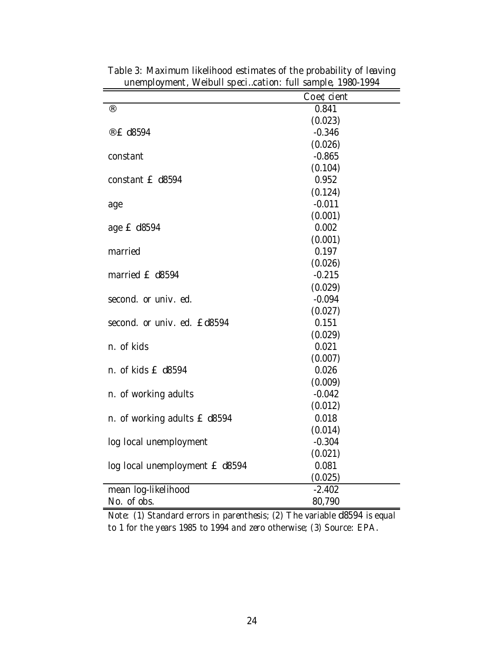|                                | Coe¢cient |
|--------------------------------|-----------|
| $^{\circledR}$                 | 0.841     |
|                                | (0.023)   |
| ® £ d8594                      | $-0.346$  |
|                                | (0.026)   |
| constant                       | $-0.865$  |
|                                | (0.104)   |
| constant £ d8594               | 0.952     |
|                                | (0.124)   |
| age                            | $-0.011$  |
|                                | (0.001)   |
| age £ d8594                    | 0.002     |
|                                | (0.001)   |
| married                        | 0.197     |
|                                | (0.026)   |
| married £ d8594                | $-0.215$  |
|                                | (0.029)   |
| second. or univ. ed.           | $-0.094$  |
|                                | (0.027)   |
| second. or univ. ed. £d8594    | 0.151     |
|                                | (0.029)   |
| n. of kids                     | 0.021     |
|                                | (0.007)   |
| n. of kids £ d8594             | 0.026     |
|                                | (0.009)   |
| n. of working adults           | $-0.042$  |
|                                | (0.012)   |
| n. of working adults £ d8594   | 0.018     |
|                                | (0.014)   |
| log local unemployment         | $-0.304$  |
|                                | (0.021)   |
| log local unemployment £ d8594 | 0.081     |
|                                | (0.025)   |
| mean log-likelihood            | $-2.402$  |
| No. of obs.                    | 80,790    |

Table 3: Maximum likelihood estimates of the probability of leaving unemployment, Weibull speci…cation: full sample, 1980-1994

Note: (1) Standard errors in parenthesis; (2) The variable d8594 is equal to 1 for the years 1985 to 1994 and zero otherwise; (3) Source: EPA.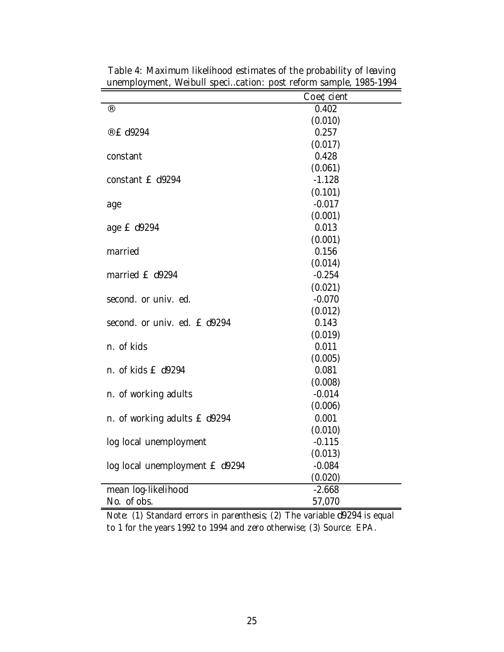|                                | Coe¢cient |
|--------------------------------|-----------|
| (R)                            | 0.402     |
|                                | (0.010)   |
| ® £ d9294                      | 0.257     |
|                                | (0.017)   |
| constant                       | 0.428     |
|                                | (0.061)   |
| constant £ d9294               | $-1.128$  |
|                                | (0.101)   |
| age                            | $-0.017$  |
|                                | (0.001)   |
| age £ d9294                    | 0.013     |
|                                | (0.001)   |
| married                        | 0.156     |
|                                | (0.014)   |
| married £ d9294                | $-0.254$  |
|                                | (0.021)   |
| second. or univ. ed.           | $-0.070$  |
|                                | (0.012)   |
| second. or univ. ed. £ d9294   | 0.143     |
|                                | (0.019)   |
| n. of kids                     | 0.011     |
|                                | (0.005)   |
| n. of kids £ d9294             | 0.081     |
|                                | (0.008)   |
| n. of working adults           | $-0.014$  |
|                                | (0.006)   |
| n. of working adults £ d9294   | 0.001     |
|                                | (0.010)   |
| log local unemployment         | $-0.115$  |
|                                | (0.013)   |
| log local unemployment £ d9294 | $-0.084$  |
|                                | (0.020)   |
| mean log-likelihood            | $-2.668$  |
| No. of obs.                    | 57,070    |

Table 4: Maximum likelihood estimates of the probability of leaving unemployment, Weibull speci…cation: post reform sample, 1985-1994

Note: (1) Standard errors in parenthesis; (2) The variable d9294 is equal to 1 for the years 1992 to 1994 and zero otherwise; (3) Source: EPA.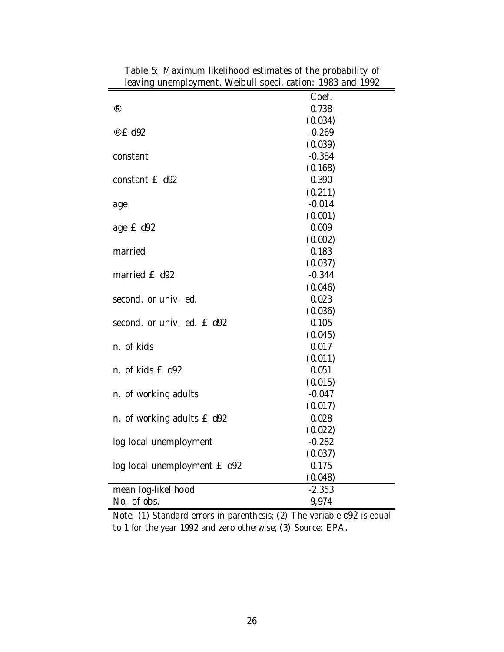|                              | Coef.    |
|------------------------------|----------|
| $^{\circledR}$               | 0.738    |
|                              | (0.034)  |
| ® £ d92                      | $-0.269$ |
|                              | (0.039)  |
| constant                     | $-0.384$ |
|                              | (0.168)  |
| constant £ d92               | 0.390    |
|                              | (0.211)  |
| age                          | $-0.014$ |
|                              | (0.001)  |
| age £ d92                    | 0.009    |
|                              | (0.002)  |
| married                      | 0.183    |
|                              | (0.037)  |
| married £ d92                | $-0.344$ |
|                              | (0.046)  |
| second. or univ. ed.         | 0.023    |
|                              | (0.036)  |
| second. or univ. ed. E d92   | 0.105    |
|                              | (0.045)  |
| n. of kids                   | 0.017    |
|                              | (0.011)  |
| n. of kids £ d92             | 0.051    |
|                              | (0.015)  |
| n. of working adults         | $-0.047$ |
|                              | (0.017)  |
| n. of working adults £ d92   | 0.028    |
|                              | (0.022)  |
| log local unemployment       | $-0.282$ |
|                              | (0.037)  |
| log local unemployment £ d92 | 0.175    |
|                              | (0.048)  |
| mean log-likelihood          | $-2.353$ |
| No. of obs.                  | 9,974    |

Table 5: Maximum likelihood estimates of the probability of leaving unemployment, Weibull speci…cation: 1983 and 1992

Note: (1) Standard errors in parenthesis; (2) The variable d92 is equal to 1 for the year 1992 and zero otherwise; (3) Source: EPA.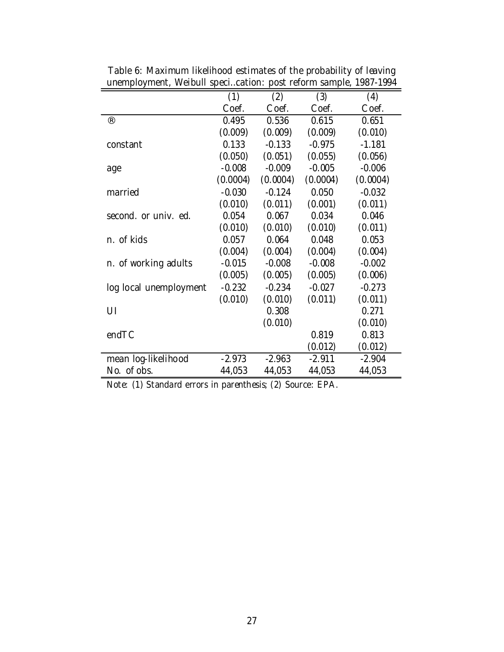|                        | (1)      | (2)      | (3)      | (4)      |
|------------------------|----------|----------|----------|----------|
|                        | Coef.    | Coef.    | Coef.    | Coef.    |
| $\circledR$            | 0.495    | 0.536    | 0.615    | 0.651    |
|                        | (0.009)  | (0.009)  | (0.009)  | (0.010)  |
| constant               | 0.133    | $-0.133$ | $-0.975$ | $-1.181$ |
|                        | (0.050)  | (0.051)  | (0.055)  | (0.056)  |
| age                    | $-0.008$ | $-0.009$ | $-0.005$ | $-0.006$ |
|                        | (0.0004) | (0.0004) | (0.0004) | (0.0004) |
| married                | $-0.030$ | $-0.124$ | 0.050    | $-0.032$ |
|                        | (0.010)  | (0.011)  | (0.001)  | (0.011)  |
| second, or univ. ed.   | 0.054    | 0.067    | 0.034    | 0.046    |
|                        | (0.010)  | (0.010)  | (0.010)  | (0.011)  |
| n. of kids             | 0.057    | 0.064    | 0.048    | 0.053    |
|                        | (0.004)  | (0.004)  | (0.004)  | (0.004)  |
| n. of working adults   | $-0.015$ | $-0.008$ | $-0.008$ | $-0.002$ |
|                        | (0.005)  | (0.005)  | (0.005)  | (0.006)  |
| log local unemployment | $-0.232$ | $-0.234$ | $-0.027$ | $-0.273$ |
|                        | (0.010)  | (0.010)  | (0.011)  | (0.011)  |
| UI                     |          | 0.308    |          | 0.271    |
|                        |          | (0.010)  |          | (0.010)  |
| endTC                  |          |          | 0.819    | 0.813    |
|                        |          |          | (0.012)  | (0.012)  |
| mean log-likelihood    | $-2.973$ | $-2.963$ | $-2.911$ | $-2.904$ |
| No. of obs.            | 44,053   | 44,053   | 44,053   | 44,053   |

Table 6: Maximum likelihood estimates of the probability of leaving unemployment, Weibull speci…cation: post reform sample, 1987-1994

Note: (1) Standard errors in parenthesis; (2) Source: EPA.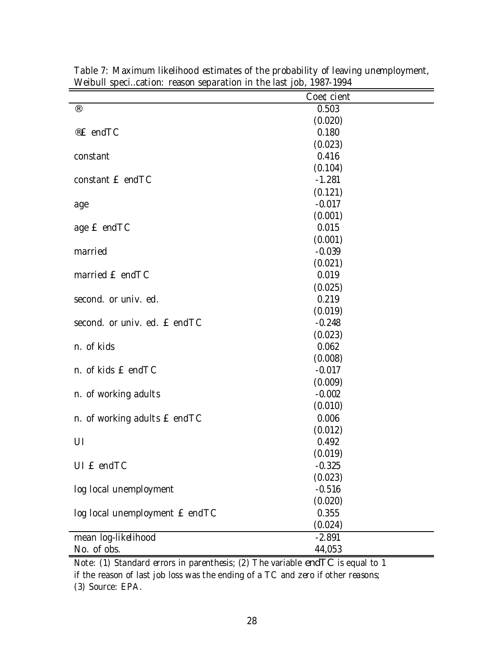|                                | Coe¢cient           |
|--------------------------------|---------------------|
| $^\circledR$                   | 0.503               |
|                                | (0.020)             |
| ®£ endTC                       | 0.180               |
|                                | (0.023)             |
| constant                       | 0.416               |
|                                | (0.104)             |
| constant E endTC               | $-1.281$            |
|                                | (0.121)             |
| age                            | $-0.017$            |
|                                | (0.001)             |
| age £ endTC                    | 0.015               |
|                                | (0.001)             |
| married                        | $-0.039$            |
|                                | (0.021)             |
| married £ endTC                | 0.019               |
|                                | (0.025)             |
| second. or univ. ed.           | 0.219               |
|                                | (0.019)             |
| second. or univ. ed. E endTC   | $-0.248$            |
|                                | (0.023)             |
| n. of kids                     | 0.062               |
|                                | (0.008)             |
| n. of kids £ endTC             | $-0.017$            |
|                                | (0.009)             |
| n. of working adults           | $-0.002$<br>(0.010) |
| n. of working adults E endTC   | 0.006               |
|                                | (0.012)             |
| UI                             | 0.492               |
|                                | (0.019)             |
| UI £ endTC                     | $-0.325$            |
|                                | (0.023)             |
| log local unemployment         | $-0.516$            |
|                                | (0.020)             |
| log local unemployment £ endTC | 0.355               |
|                                | (0.024)             |
| mean log-likelihood            | $-2.891$            |
| No. of obs.                    | 44,053              |

Table 7: Maximum likelihood estimates of the probability of leaving unemployment, Weibull speci…cation: reason separation in the last job, 1987-1994

Note: (1) Standard errors in parenthesis; (2) The variable endT C is equal to 1 if the reason of last job loss was the ending of a TC and zero if other reasons; (3) Source: EPA.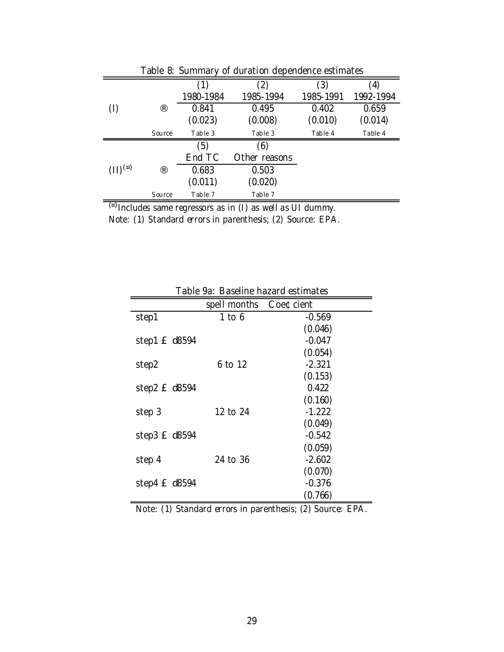| (2)<br>(3)<br>$\left( 4\right)$<br>(1)                    | Table 8: Summary of duration dependence estimates |  |  |  |  |  |
|-----------------------------------------------------------|---------------------------------------------------|--|--|--|--|--|
|                                                           |                                                   |  |  |  |  |  |
| 1980-1984<br>1985-1994<br>1985-1991<br>1992-1994          |                                                   |  |  |  |  |  |
| $^{\circledR}$<br>0.495<br>0.659<br>0.841<br>0.402<br>(1) |                                                   |  |  |  |  |  |
| (0.023)<br>(0.008)<br>(0.010)<br>(0.014)                  |                                                   |  |  |  |  |  |
| Table 3<br>Table 3<br>Table 4<br>Table 4<br>Source        |                                                   |  |  |  |  |  |
| (6)<br>(5)                                                |                                                   |  |  |  |  |  |
| End TC<br>Other reasons                                   |                                                   |  |  |  |  |  |
| $(11)^{(n)}$<br>$^{\circledR}$<br>0.503<br>0.683          |                                                   |  |  |  |  |  |
| (0.011)<br>(0.020)                                        |                                                   |  |  |  |  |  |
| Table 7<br>Table 7<br>Source<br>$\sqrt{2}$                |                                                   |  |  |  |  |  |

<sup>(¤)</sup> Includes same regressors as in (I) as well as UI dummy.

Note: (1) Standard errors in parenthesis; (2) Source: EPA.

| Table 7a. Dascille Hazaru estimates |                        |          |  |  |
|-------------------------------------|------------------------|----------|--|--|
|                                     | spell months Coe¢cient |          |  |  |
| step1                               | $1$ to $6$             | $-0.569$ |  |  |
|                                     |                        | (0.046)  |  |  |
| step1 $E$ d8594                     |                        | $-0.047$ |  |  |
|                                     |                        | (0.054)  |  |  |
| step2                               | 6 to 12                | $-2.321$ |  |  |
|                                     |                        | (0.153)  |  |  |
| step $2 \text{ f}$ d8594            |                        | 0.422    |  |  |
|                                     |                        | (0.160)  |  |  |
| step 3                              | 12 to 24               | $-1.222$ |  |  |
|                                     |                        | (0.049)  |  |  |
| step3 $E$ d8594                     |                        | $-0.542$ |  |  |
|                                     |                        | (0.059)  |  |  |
| step 4                              | 24 to 36               | $-2.602$ |  |  |
|                                     |                        | (0.070)  |  |  |
| step4 $E$ d8594                     |                        | $-0.376$ |  |  |
|                                     |                        | (0.766)  |  |  |

Table 9a: Baseline hazard estimates

Note: (1) Standard errors in parenthesis; (2) Source: EPA.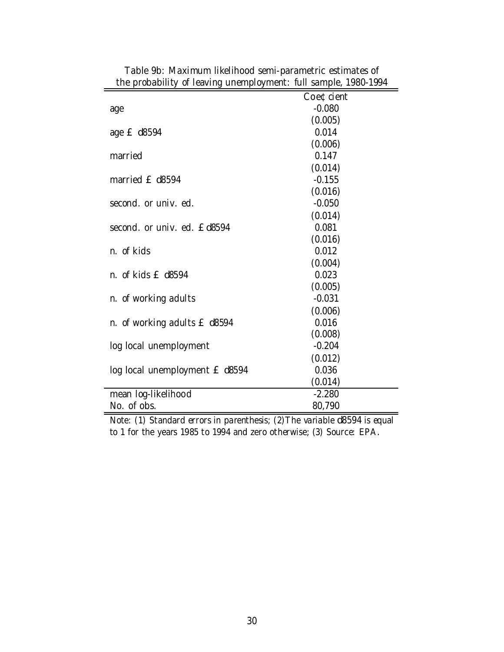| $\mu$ is probability of identity and inprovincity. This sample, 1700 1774 |           |
|---------------------------------------------------------------------------|-----------|
|                                                                           | Coe¢cient |
| age                                                                       | $-0.080$  |
|                                                                           | (0.005)   |
| age £ d8594                                                               | 0.014     |
|                                                                           | (0.006)   |
| married                                                                   | 0.147     |
|                                                                           | (0.014)   |
| married £ d8594                                                           | $-0.155$  |
|                                                                           | (0.016)   |
| second, or univ. ed.                                                      | $-0.050$  |
|                                                                           | (0.014)   |
| second, or univ. ed. £d8594                                               | 0.081     |
|                                                                           | (0.016)   |
| n. of kids                                                                | 0.012     |
|                                                                           | (0.004)   |
| n. of kids £ d8594                                                        | 0.023     |
|                                                                           | (0.005)   |
| n. of working adults                                                      | $-0.031$  |
|                                                                           | (0.006)   |
| n. of working adults £ d8594                                              | 0.016     |
|                                                                           | (0.008)   |
| log local unemployment                                                    | $-0.204$  |
|                                                                           | (0.012)   |
| log local unemployment £ d8594                                            | 0.036     |
|                                                                           | (0.014)   |
| mean log-likelihood                                                       | $-2.280$  |
| No. of obs.                                                               | 80,790    |

Table 9b: Maximum likelihood semi-parametric estimates of the probability of leaving unemployment: full sample, 1980-1994

Note: (1) Standard errors in parenthesis; (2)The variable d8594 is equal to 1 for the years 1985 to 1994 and zero otherwise; (3) Source: EPA.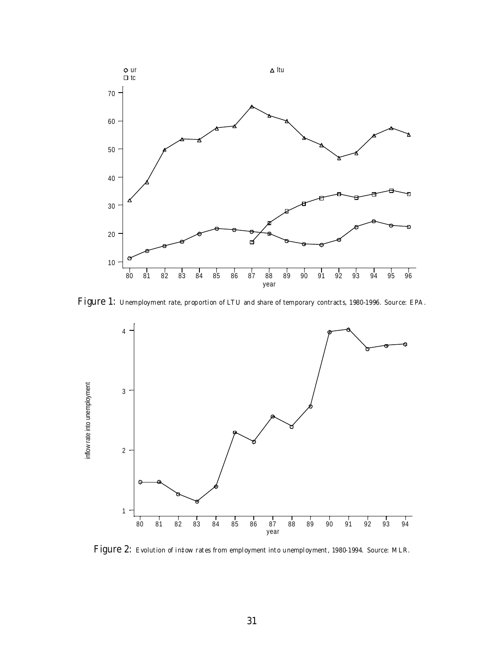

Figure 1: Unemployment rate, proportion of LTU and share of temporary contracts, 1980-1996. Source: EPA.



Figure 2: Evolution of in‡ow rates from employment into unemployment, 1980-1994. Source: MLR.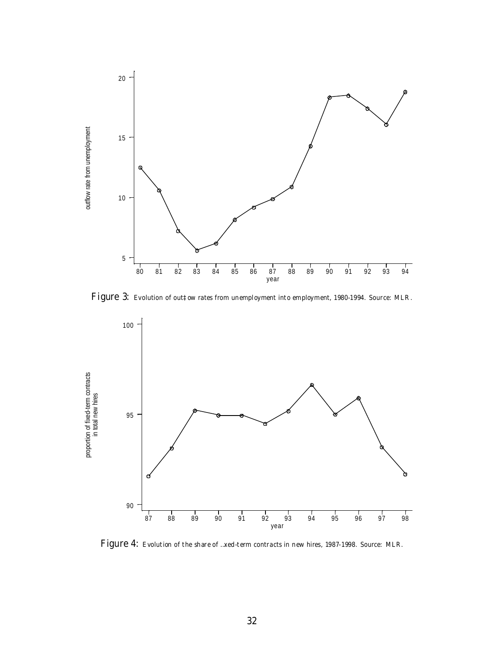

Figure 3: Evolution of out‡ow rates from unemployment into employment, 1980-1994. Source: MLR.



Figure 4: Evolution of the share of …xed-term contracts in new hires, 1987-1998. Source: MLR.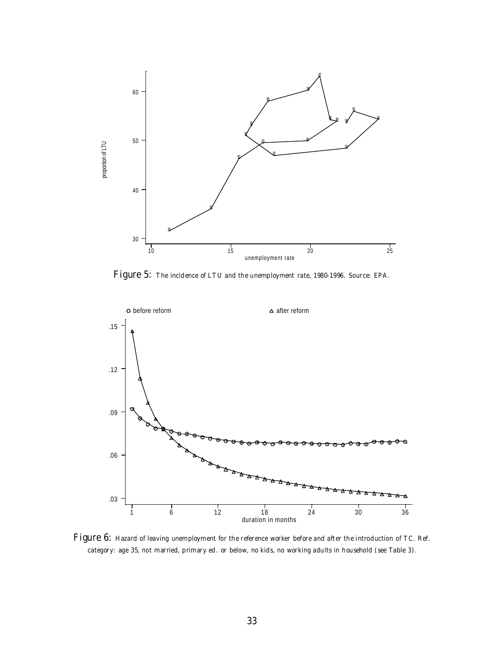

Figure 5: The incidence of LTU and the unemployment rate, 1980-1996. Source: EPA.



Figure 6: Hazard of leaving unemployment for the reference worker before and after the introduction of TC. Ref. category: age 35, not married, primary ed. or below, no kids, no working adults in household (see Table 3).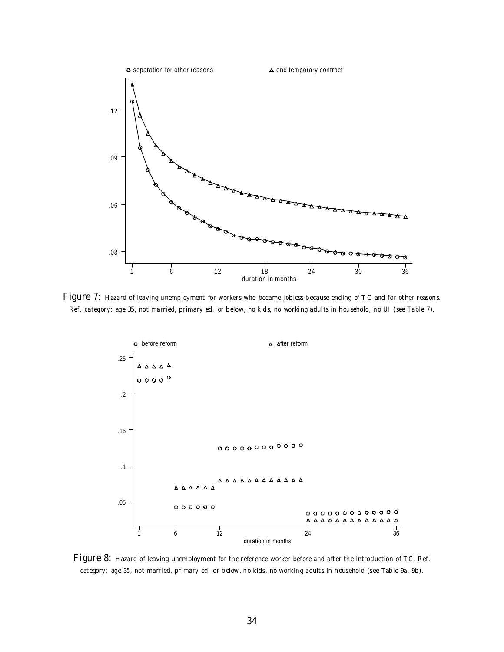

Figure 7: Hazard of leaving unemployment for workers who became jobless because ending of TC and for other reasons. Ref. category: age 35, not married, primary ed. or below, no kids, no working adults in household, no UI (see Table 7).



Figure 8: Hazard of leaving unemployment for the reference worker before and after the introduction of TC. Ref. category: age 35, not married, primary ed. or below, no kids, no working adults in household (see Table 9a, 9b).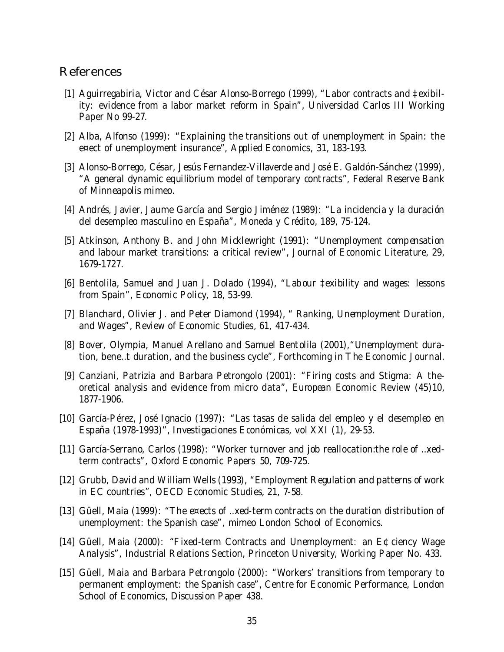### References

- [1] Aguirregabiria, Victor and César Alonso-Borrego (1999), "Labor contracts and ‡exibility: evidence from a labor market reform in Spain", Universidad Carlos III Working Paper No 99-27.
- [2] Alba, Alfonso (1999): "Explaining the transitions out of unemployment in Spain: the e¤ect of unemployment insurance", Applied Economics, 31, 183-193.
- [3] Alonso-Borrego, César, Jesús Fernandez-Villaverde and José E. Galdón-Sánchez (1999), "A general dynamic equilibrium model of temporary contracts", Federal Reserve Bank of Minneapolis mimeo.
- [4] Andrés, Javier, Jaume García and Sergio Jiménez (1989): "La incidencia y la duración del desempleo masculino en España", Moneda y Crédito, 189, 75-124.
- [5] Atkinson, Anthony B. and John Micklewright (1991): "Unemployment compensation and labour market transitions: a critical review", Journal of Economic Literature, 29, 1679-1727.
- [6] Bentolila, Samuel and Juan J. Dolado (1994), "Labour ‡exibility and wages: lessons from Spain", Economic Policy, 18, 53-99.
- [7] Blanchard, Olivier J. and Peter Diamond (1994), " Ranking, Unemployment Duration, and Wages", Review of Economic Studies, 61, 417-434.
- [8] Bover, Olympia, Manuel Arellano and Samuel Bentolila (2001),"Unemployment duration, bene…t duration, and the business cycle", Forthcoming in The Economic Journal.
- [9] Canziani, Patrizia and Barbara Petrongolo (2001): "Firing costs and Stigma: A theoretical analysis and evidence from micro data", European Economic Review (45)10, 1877-1906.
- [10] García-Pérez, José Ignacio (1997): "Las tasas de salida del empleo y el desempleo en España (1978-1993)", Investigaciones Económicas, vol XXI (1), 29-53.
- [11] García-Serrano, Carlos (1998): "Worker turnover and job reallocation: the role of ... xedterm contracts", Oxford Economic Papers 50, 709-725.
- [12] Grubb, David and William Wells (1993), "Employment Regulation and patterns of work in EC countries", OECD Economic Studies, 21, 7-58.
- [13] Güell, Maia (1999): "The e¤ects of …xed-term contracts on the duration distribution of unemployment: the Spanish case", mimeo London School of Economics.
- [14] Güell, Maia (2000): "Fixed-term Contracts and Unemployment: an E¢ciency Wage Analysis", Industrial Relations Section, Princeton University, Working Paper No. 433.
- [15] Güell, Maia and Barbara Petrongolo (2000): "Workers' transitions from temporary to permanent employment: the Spanish case", Centre for Economic Performance, London School of Economics, Discussion Paper 438.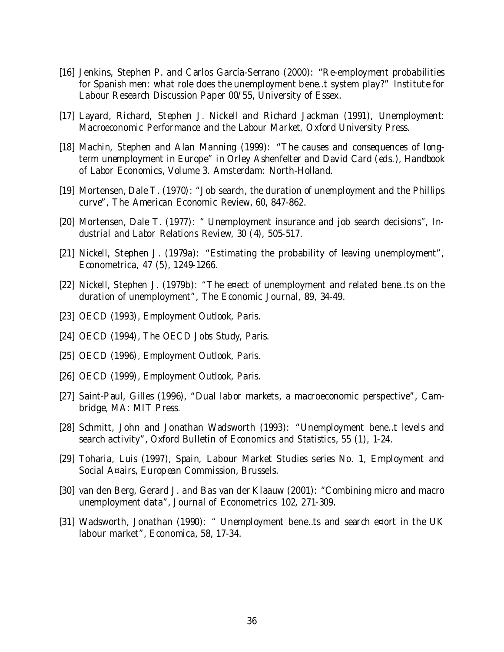- [16] Jenkins, Stephen P. and Carlos García-Serrano (2000): "Re-employment probabilities for Spanish men: what role does the unemployment bene…t system play?" Institute for Labour Research Discussion Paper 00/55, University of Essex.
- [17] Layard, Richard, Stephen J. Nickell and Richard Jackman (1991), Unemployment: Macroeconomic Performance and the Labour Market, Oxford University Press.
- [18] Machin, Stephen and Alan Manning (1999): "The causes and consequences of longterm unemployment in Europe" in Orley Ashenfelter and David Card (eds.), Handbook of Labor Economics, Volume 3. Amsterdam: North-Holland.
- [19] Mortensen, Dale T. (1970): "Job search, the duration of unemployment and the Phillips curve", The American Economic Review, 60, 847-862.
- [20] Mortensen, Dale T. (1977): " Unemployment insurance and job search decisions", Industrial and Labor Relations Review, 30 (4), 505-517.
- [21] Nickell, Stephen J. (1979a): "Estimating the probability of leaving unemployment", Econometrica, 47 (5), 1249-1266.
- [22] Nickell, Stephen J. (1979b): "The e¤ect of unemployment and related bene…ts on the duration of unemployment", The Economic Journal, 89, 34-49.
- [23] OECD (1993), Employment Outlook, Paris.
- [24] OECD (1994), The OECD Jobs Study, Paris.
- [25] OECD (1996), Employment Outlook, Paris.
- [26] OECD (1999), Employment Outlook, Paris.
- [27] Saint-Paul, Gilles (1996), "Dual labor markets, a macroeconomic perspective", Cambridge, MA: MIT Press.
- [28] Schmitt, John and Jonathan Wadsworth (1993): "Unemployment bene…t levels and search activity", Oxford Bulletin of Economics and Statistics, 55 (1), 1-24.
- [29] Toharia, Luis (1997), Spain, Labour Market Studies series No. 1, Employment and Social A¤airs, European Commission, Brussels.
- [30] van den Berg, Gerard J. and Bas van der Klaauw (2001): "Combining micro and macro unemployment data", Journal of Econometrics 102, 271-309.
- [31] Wadsworth, Jonathan (1990): " Unemployment bene…ts and search e¤ort in the UK labour market", Economica, 58, 17-34.